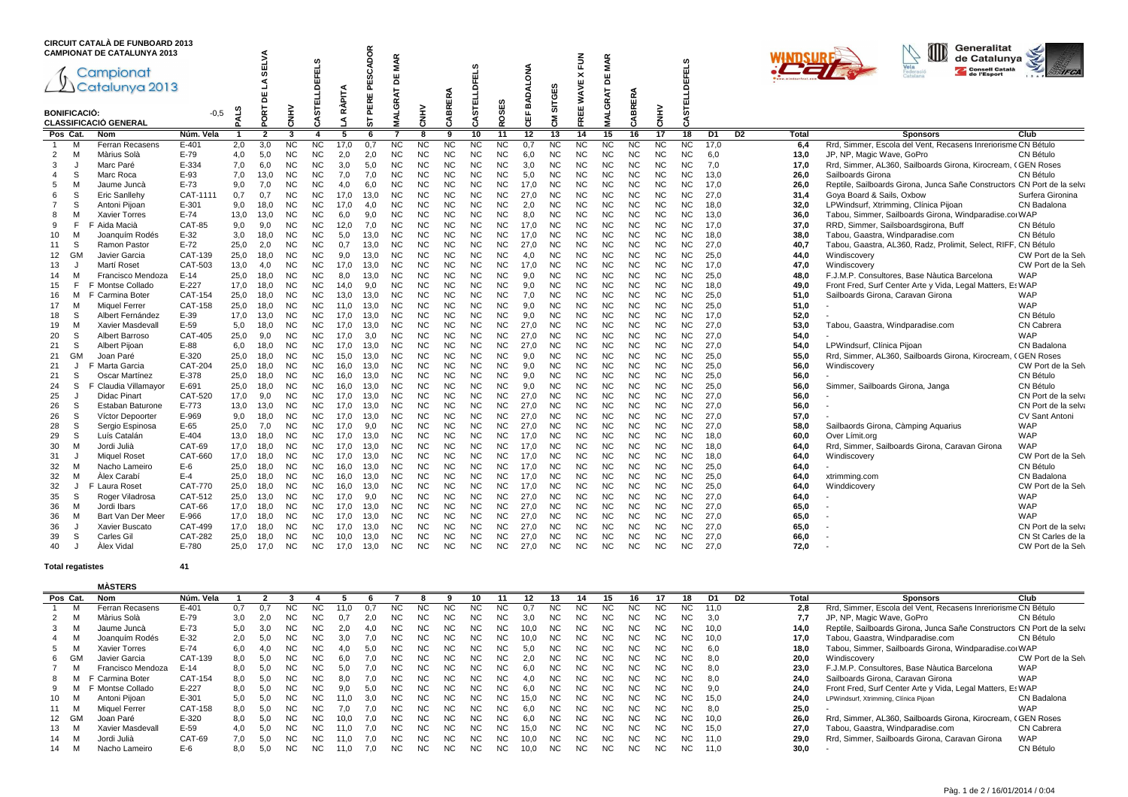|                     | <b>CIRCUIT CATALÀ DE FUNBOARD 2013</b><br><b>CAMPIONAT DE CATALUNYA 2013</b> |                |      |                        |                         |                  |               | <b>ADOR</b>       | <b>MAR</b>              |             |           |                          |                  |            |              | 层                | <b>MAR</b>                           |           |           |                |                |                |       | Generalitat<br>de Catalunya                                             |                       |
|---------------------|------------------------------------------------------------------------------|----------------|------|------------------------|-------------------------|------------------|---------------|-------------------|-------------------------|-------------|-----------|--------------------------|------------------|------------|--------------|------------------|--------------------------------------|-----------|-----------|----------------|----------------|----------------|-------|-------------------------------------------------------------------------|-----------------------|
|                     | Campionat<br>$2$ Catalunya 2013                                              |                |      | <b>SELVA</b><br>٩<br>뷤 |                         | 9<br>面           | <b>RÀPITA</b> | د،<br>Ř<br>PERE I | ш<br>$\Omega$<br>۳<br>œ |             |           | <b>CO</b><br>ᇤ<br>C<br>面 |                  | ₹<br>BADAL | S<br>뿡       | ×<br><b>WAVE</b> | ш<br>$\overline{\phantom{a}}$<br>RAT |           |           | FELS           |                |                |       | Consell Català<br>de l'Esport                                           | <b>AFCA</b>           |
| <b>BONIFICACIÓ:</b> | CLASSIFICACIÓ GENERAL                                                        | $-0,5$         | m    | ORT                    | 소<br>종                  | 5<br>я           | ٩             | 눖                 | O                       | <b>ENHY</b> | CABRERA   | 5                        | SES<br>ğ         | 쁂          | ᄂ<br>ᢆ<br>٢Š | ш<br>ш<br>۴      | ୍ର<br>ৱ<br>s                         | CABRERA   | CNHV      | CASTE          |                |                |       |                                                                         |                       |
| Pos Cat.            | <b>Nom</b>                                                                   | Núm. Vela      |      | $\overline{2}$         | $\overline{\mathbf{3}}$ | $\boldsymbol{4}$ | 5             | -6                | 7                       | 8           | 9         | 10                       | 11               | 12         | 13           | 14               | 15                                   | 16        | 17        | 18             | D <sub>1</sub> | D <sub>2</sub> | Total | <b>Sponsors</b>                                                         | Club                  |
| м                   | Ferran Recasens                                                              | $E - 401$      | 2,0  | 3,0                    | <sub>NC</sub>           | NC.              | 17.0          | 0.7               | <b>NC</b>               | NC          | <b>NC</b> | <b>NC</b>                | NC               | 0.7        | <b>NC</b>    | <b>NC</b>        | NC                                   | <b>NC</b> | <b>NC</b> | <b>NC</b>      | 17.0           |                | 6,4   | Rrd, Simmer, Escola del Vent, Recasens Inreriorisme CN Bétulo           |                       |
| $\overline{2}$<br>M | Màrius Solà                                                                  | $E-79$         | 4,0  | 5,0                    | <b>NC</b>               | <b>NC</b>        | 2,0           | 2,0               | <b>NC</b>               | <b>NC</b>   | <b>NC</b> | <b>NC</b>                | <b>NC</b>        | 6,0        | <b>NC</b>    | <b>NC</b>        | <b>NC</b>                            | <b>NC</b> | <b>NC</b> | <b>NC</b>      | 6,0            |                | 13,0  | JP, NP, Magic Wave, GoPro                                               | CN Bétulo             |
| 3<br>J              | Marc Paré                                                                    | E-334          | 7.0  | 6,0                    | <b>NC</b>               | NC.              | 3.0           | 5,0               | <b>NC</b>               | <b>NC</b>   | <b>NC</b> | <b>NC</b>                | <b>NC</b>        | 3.0        | <b>NC</b>    | <b>NC</b>        | <b>NC</b>                            | <b>NC</b> | <b>NC</b> | <b>NC</b>      | 7,0            |                | 17.0  | Rrd, Simmer, AL360, Sailboards Girona, Kirocream, CGEN Roses            |                       |
| S<br>$\overline{4}$ | Marc Roca                                                                    | $E-93$         | 7,0  | 13,0                   | <b>NC</b>               | NC.              | 7,0           | 7.0               | <b>NC</b>               | <b>NC</b>   | <b>NC</b> | <b>NC</b>                | <b>NC</b>        | 5,0        | <b>NC</b>    | <b>NC</b>        | <b>NC</b>                            | <b>NC</b> | <b>NC</b> | <b>NC</b>      | 13.0           |                | 26,0  | Sailboards Girona                                                       | CN Bétulo             |
| 5<br>м              | Jaume Juncà                                                                  | $E-73$         | 9,0  | 7,0                    | <b>NC</b>               | <b>NC</b>        | 4.0           | 6,0               | <b>NC</b>               | <b>NC</b>   | <b>NC</b> | <b>NC</b>                | <b>NC</b>        | 17,0       | <b>NC</b>    | <b>NC</b>        | <b>NC</b>                            | <b>NC</b> | <b>NC</b> | <b>NC</b>      | 17.0           |                | 26,0  | Reptile, Sailboards Girona, Junca Sañe Constructors CN Port de la selva |                       |
| S<br>6              | Eric Sanllehy                                                                | CAT-1111       | 0,7  | 0,7                    | <b>NC</b>               | NC.              | 17.0          | 13.0              | <b>NC</b>               | <b>NC</b>   | <b>NC</b> | <b>NC</b>                | <b>NC</b>        | 27.0       | <b>NC</b>    | <b>NC</b>        | <b>NC</b>                            | <b>NC</b> | <b>NC</b> | N <sub>C</sub> | 27.0           |                | 31,4  | Goya Board & Sails, Oxbow                                               | Surfera Gironina      |
| $\overline{7}$<br>S | Antoni Pijoan                                                                | $E - 301$      | 9.0  | 18,0                   | <b>NC</b>               | NC.              | 17.0          | 4.0               | <b>NC</b>               | <b>NC</b>   | <b>NC</b> | <b>NC</b>                | <b>NC</b>        | 2,0        | <b>NC</b>    | <b>NC</b>        | <b>NC</b>                            | <b>NC</b> | <b>NC</b> | N <sub>C</sub> | 18.0           |                | 32.0  | LPWindsurf, Xtrimming, Clínica Pijoan                                   | CN Badalona           |
| 8<br>M              | <b>Xavier Torres</b>                                                         | $E-74$         | 13,0 | 13,0                   | <b>NC</b>               | NC.              | 6.0           | 9.0               | <b>NC</b>               | <b>NC</b>   | <b>NC</b> | NC                       | <b>NC</b>        | 8.0        | <b>NC</b>    | <b>NC</b>        | <b>NC</b>                            | <b>NC</b> | NC.       | N <sub>C</sub> | 13.0           |                | 36,0  | Tabou, Simmer, Sailboards Girona, Windparadise.corWAP                   |                       |
| F<br>9              | F Aida Macià                                                                 | <b>CAT-85</b>  | 9,0  | 9,0                    | <b>NC</b>               | NC.              | 12,0          | 7,0               | <b>NC</b>               | <b>NC</b>   | <b>NC</b> | <b>NC</b>                | <b>NC</b>        | 17,0       | <b>NC</b>    | <b>NC</b>        | <b>NC</b>                            | <b>NC</b> | ΝC        | <b>NC</b>      | 17,0           |                | 37,0  | RRD, Simmer, Sailsboardsgirona, Buff                                    | CN Bétulo             |
| M<br>10             | Joanquím Rodés                                                               | $E-32$         | 3,0  | 18,0                   | <b>NC</b>               | <b>NC</b>        | 5,0           | 13,0              | NC                      | <b>NC</b>   | <b>NC</b> | <b>NC</b>                | <b>NC</b>        | 17.0       | <b>NC</b>    | <b>NC</b>        | <b>NC</b>                            | <b>NC</b> | NC        | <b>NC</b>      | 18,0           |                | 38,0  | Tabou, Gaastra, Windparadise.com                                        | CN Bétulo             |
| S<br>11             | Ramon Pastor                                                                 | $E-72$         | 25,0 | 2,0                    | <b>NC</b>               | <b>NC</b>        | 0,7           | 13,0              | <b>NC</b>               | <b>NC</b>   | <b>NC</b> | <b>NC</b>                | <b>NC</b>        | 27.0       | <b>NC</b>    | <b>NC</b>        | <b>NC</b>                            | <b>NC</b> | <b>NC</b> | <b>NC</b>      | 27.0           |                | 40.7  | Tabou, Gaastra, AL360, Radz, Prolimit, Select, RIFF, CN Bétulo          |                       |
| 12<br>GM            | Javier Garcia                                                                | CAT-139        | 25,0 | 18,0                   | <b>NC</b>               | <b>NC</b>        | 9.0           | 13,0              | <b>NC</b>               | <b>NC</b>   | <b>NC</b> | <b>NC</b>                | <b>NC</b>        | 4.0        | <b>NC</b>    | <b>NC</b>        | <b>NC</b>                            | <b>NC</b> | <b>NC</b> | <b>NC</b>      | 25,0           |                | 44.0  | Windiscovery                                                            | CW Port de la Sel     |
| 13<br>J             | Martí Roset                                                                  | CAT-503        | 13,0 | 4.0                    | <b>NC</b>               | NC.              | 17,0          | 13,0              | <b>NC</b>               | <b>NC</b>   | <b>NC</b> | <b>NC</b>                | NC.<br><b>NC</b> | 17,0       | <b>NC</b>    | <b>NC</b>        | <b>NC</b>                            | <b>NC</b> | <b>NC</b> | <b>NC</b>      | 17,0           |                | 47,0  | Windiscovery                                                            | CW Port de la Selv    |
| M<br>14             | Francisco Mendoza                                                            | $E-14$         | 25,0 | 18,0                   | <b>NC</b>               | NC.              | 8,0           | 13,0              | <b>NC</b>               | <b>NC</b>   | <b>NC</b> | <b>NC</b>                |                  | 9,0        | <b>NC</b>    | <b>NC</b>        | <b>NC</b>                            | <b>NC</b> | <b>NC</b> | <b>NC</b>      | 25,0           |                | 48.0  | F.J.M.P. Consultores, Base Nàutica Barcelona                            | <b>WAP</b>            |
| 15<br>F             | F Montse Collado                                                             | $E-227$        | 17,0 | 18,0                   | <b>NC</b>               | NC.              | 14.0          | 9.0               | <b>NC</b>               | <b>NC</b>   | <b>NC</b> | NC                       | <b>NC</b>        | 9.0        | <b>NC</b>    | <b>NC</b>        | <b>NC</b>                            | <b>NC</b> | NC.       | <b>NC</b>      | 18.0           |                | 49,0  | Front Fred, Surf Center Arte y Vida, Legal Matters, Es WAP              |                       |
| 16<br>M             | F Carmina Boter                                                              | <b>CAT-154</b> | 25,0 | 18,0                   | <b>NC</b>               | NC.              | 13,0          | 13,0              | <b>NC</b>               | <b>NC</b>   | <b>NC</b> | <b>NC</b>                | <b>NC</b>        | 7,0        | <b>NC</b>    | <b>NC</b>        | <b>NC</b>                            | <b>NC</b> | NC.       | <b>NC</b>      | 25,0           |                | 51,0  | Sailboards Girona, Caravan Girona                                       | <b>WAP</b>            |
| M<br>17             | Miquel Ferrer                                                                | CAT-158        | 25,0 | 18,0                   | <b>NC</b>               | NC.              | 11.0          | 13,0              | <b>NC</b>               | <b>NC</b>   | <b>NC</b> | ΝC                       | <b>NC</b>        | 9,0        | <b>NC</b>    | <b>NC</b>        | <b>NC</b>                            | <b>NC</b> | NC        | <b>NC</b>      | 25,0           |                | 51,0  |                                                                         | <b>WAP</b>            |
| S<br>18             | Albert Fernández                                                             | E-39           | 17,0 | 13,0                   | <b>NC</b>               | NC.              | 17,0          | 13,0              | <b>NC</b>               | <b>NC</b>   | <b>NC</b> | <b>NC</b>                | <b>NC</b>        | 9,0        | <b>NC</b>    | <b>NC</b>        | <b>NC</b>                            | <b>NC</b> | ΝC        | <b>NC</b>      | 17,0           |                | 52,0  |                                                                         | CN Bétulo             |
| M<br>19             | Xavier Masdevall                                                             | E-59           | 5,0  | 18,0                   | <b>NC</b>               | <b>NC</b>        | 17.0          | 13,0              | <b>NC</b>               | <b>NC</b>   | <b>NC</b> | <b>NC</b>                | <b>NC</b>        | 27.0       | <b>NC</b>    | <b>NC</b>        | <b>NC</b>                            | <b>NC</b> | <b>NC</b> | <b>NC</b>      | 27.0           |                | 53,0  | Tabou, Gaastra, Windparadise.com                                        | <b>CN Cabrera</b>     |
| S<br>20             | Albert Barroso                                                               | <b>CAT-405</b> | 25,0 | 9,0                    | <b>NC</b>               | NC.              | 17,0          | 3,0               | <b>NC</b>               | <b>NC</b>   | <b>NC</b> | <b>NC</b>                | NC.              | 27.0       | <b>NC</b>    | <b>NC</b>        | <b>NC</b>                            | <b>NC</b> | <b>NC</b> | <b>NC</b>      | 27.0           |                | 54,0  |                                                                         | <b>WAP</b>            |
| S<br>21             | Albert Pijoan                                                                | E-88           | 6,0  | 18,0                   | <b>NC</b>               | NC.              | 17,0          | 13,0              | <b>NC</b>               | <b>NC</b>   | <b>NC</b> | <b>NC</b>                | <b>NC</b>        | 27,0       | <b>NC</b>    | <b>NC</b>        | <b>NC</b>                            | <b>NC</b> | <b>NC</b> | <b>NC</b>      | 27,0           |                | 54,0  | LPWindsurf, Clínica Pijoan                                              | CN Badalona           |
| GM<br>21            | Joan Paré                                                                    | E-320          | 25,0 | 18,0                   | <b>NC</b>               | NC.              | 15,0          | 13,0              | <b>NC</b>               | <b>NC</b>   | <b>NC</b> | <b>NC</b>                | <b>NC</b>        | 9,0        | <b>NC</b>    | <b>NC</b>        | <b>NC</b>                            | <b>NC</b> | <b>NC</b> | <b>NC</b>      | 25,0           |                | 55,0  | Rrd, Simmer, AL360, Sailboards Girona, Kirocream                        | <b>CGEN Roses</b>     |
| 21<br>J             | F Marta Garcia                                                               | <b>CAT-204</b> | 25,0 | 18,0                   | <b>NC</b>               | NC.              | 16,0          | 13,0              | <b>NC</b>               | <b>NC</b>   | <b>NC</b> | <b>NC</b>                | <b>NC</b>        | 9,0        | <b>NC</b>    | <b>NC</b>        | <b>NC</b>                            | <b>NC</b> | <b>NC</b> | <b>NC</b>      | 25,0           |                | 56,0  | Windiscovery                                                            | CW Port de la Selv    |
| S<br>21             | Oscar Martínez                                                               | E-378          | 25.0 | 18.0                   | <b>NC</b>               | NC.              | 16.0          | 13.0              | <b>NC</b>               | <b>NC</b>   | <b>NC</b> | NC                       | <b>NC</b>        | 9.0        | <b>NC</b>    | <b>NC</b>        | <b>NC</b>                            | <b>NC</b> | NC.       | <b>NC</b>      | 25.0           |                | 56,0  |                                                                         | CN Bétulo             |
| S<br>24             | F Claudia Villamayor                                                         | E-691          | 25,0 | 18,0                   | <b>NC</b>               | NC.              | 16.0          | 13.0              | <b>NC</b>               | <b>NC</b>   | <b>NC</b> | <b>NC</b>                | <b>NC</b>        | 9.0        | <b>NC</b>    | <b>NC</b>        | <b>NC</b>                            | <b>NC</b> | NC.       | <b>NC</b>      | 25.0           |                | 56,0  | Simmer, Sailboards Girona, Janga                                        | CN Bétulo             |
| 25<br>J             | Didac Pinart                                                                 | <b>CAT-520</b> | 17,0 | 9.0                    | <b>NC</b>               | <b>NC</b>        | 17.0          | 13.0              | <b>NC</b>               | <b>NC</b>   | <b>NC</b> | <b>NC</b>                | <b>NC</b>        | 27.0       | <b>NC</b>    | <b>NC</b>        | <b>NC</b>                            | <b>NC</b> | <b>NC</b> | <b>NC</b>      | 27.0           |                | 56,0  |                                                                         | CN Port de la selva   |
| S<br>26             | Estaban Baturone                                                             | E-773          | 13,0 | 13,0                   | <b>NC</b>               | NC.              | 17.0          | 13.0              | <b>NC</b>               | <b>NC</b>   | <b>NC</b> | <b>NC</b>                | <b>NC</b>        | 27.0       | <b>NC</b>    | <b>NC</b>        | <b>NC</b>                            | <b>NC</b> | <b>NC</b> | <b>NC</b>      | 27.0           |                | 56.0  |                                                                         | CN Port de la selva   |
| S<br>26             | Víctor Depoorter                                                             | E-969          | 9.0  | 18,0                   | <b>NC</b>               | NC.              | 17.0          | 13.0              | <b>NC</b>               | <b>NC</b>   | <b>NC</b> | <b>NC</b>                | <b>NC</b>        | 27.0       | <b>NC</b>    | <b>NC</b>        | <b>NC</b>                            | <b>NC</b> | <b>NC</b> | <b>NC</b>      | 27.0           |                | 57.0  |                                                                         | <b>CV Sant Antoni</b> |
| S<br>28             | Sergio Espinosa                                                              | $E-65$         | 25,0 | 7,0                    | <b>NC</b>               | NC.              | 17.0          | 9.0               | <b>NC</b>               | <b>NC</b>   | <b>NC</b> | <b>NC</b>                | <b>NC</b>        | 27.0       | <b>NC</b>    | <b>NC</b>        | <b>NC</b>                            | <b>NC</b> | <b>NC</b> | <b>NC</b>      | 27.0           |                | 58,0  | Sailbaords Girona, Càmping Aquarius                                     | <b>WAP</b>            |
| S<br>29             | Luís Catalán                                                                 | E-404          | 13,0 | 18,0                   | <b>NC</b>               | NC.              | 17.0          | 13.0              | <b>NC</b>               | <b>NC</b>   | <b>NC</b> | <b>NC</b>                | N <sub>C</sub>   | 17.0       | <b>NC</b>    | <b>NC</b>        | <b>NC</b>                            | <b>NC</b> | <b>NC</b> | <b>NC</b>      | 18.0           |                | 60,0  | Over Límit.org                                                          | <b>WAP</b>            |
| 30<br>M             | Jordi Julià                                                                  | CAT-69         | 17.0 | 18.0                   | <b>NC</b>               | NC.              | 17.0          | 13.0              | <b>NC</b>               | <b>NC</b>   | <b>NC</b> | <b>NC</b>                | NC.              | 17.0       | <b>NC</b>    | <b>NC</b>        | N <sub>C</sub>                       | <b>NC</b> | <b>NC</b> | <b>NC</b>      | 18.0           |                | 64.0  | Rrd, Simmer, Sailboards Girona, Caravan Girona                          | <b>WAP</b>            |
| 31<br>IJ            | <b>Miquel Roset</b>                                                          | CAT-660        | 17,0 | 18,0                   | <b>NC</b>               | NC.              | 17.0          | 13.0              | <b>NC</b>               | <b>NC</b>   | <b>NC</b> | <b>NC</b>                | <b>NC</b>        | 17.0       | <b>NC</b>    | <b>NC</b>        | <b>NC</b>                            | <b>NC</b> | <b>NC</b> | N <sub>C</sub> | 18.0           |                | 64.0  | Windiscovery                                                            | CW Port de la Sel     |
| 32<br>M             | Nacho Lameiro                                                                | $E-6$          | 25,0 | 18,0                   | <b>NC</b>               | NC.              | 16.0          | 13.0              | <b>NC</b>               | <b>NC</b>   | <b>NC</b> | NC                       | NC.              | 17,0       | <b>NC</b>    | <b>NC</b>        | <b>NC</b>                            | <b>NC</b> | NC.       | <b>NC</b>      | 25.0           |                | 64,0  |                                                                         | CN Bétulo             |
| 32<br>M             | Alex Carabí                                                                  | $E-4$          | 25,0 | 18,0                   | <b>NC</b>               | NC.              | 16,0          | 13,0              | <b>NC</b>               | <b>NC</b>   | <b>NC</b> | <b>NC</b>                | <b>NC</b>        | 17.0       | <b>NC</b>    | <b>NC</b>        | <b>NC</b>                            | <b>NC</b> | ΝC        | <b>NC</b>      | 25,0           |                | 64,0  | xtrimming.com                                                           | CN Badalona           |
| 32<br>J             | F Laura Roset                                                                | <b>CAT-770</b> | 25,0 | 18,0                   | <b>NC</b>               | <b>NC</b>        | 16.0          | 13,0              | <b>NC</b>               | <b>NC</b>   | <b>NC</b> | <b>NC</b>                |                  | 17.0       | <b>NC</b>    | <b>NC</b>        | <b>NC</b>                            | <b>NC</b> | <b>NC</b> | <b>NC</b>      | 25,0           |                | 64.0  | Winddicoverv                                                            | CW Port de la Selv    |
| 35<br>S             | Roger Viladrosa                                                              | CAT-512        | 25,0 | 13,0                   | <b>NC</b>               | NC.              | 17.0          | 9.0               | <b>NC</b>               | <b>NC</b>   | <b>NC</b> | <b>NC</b>                | <b>NC</b>        | 27.0       | <b>NC</b>    | <b>NC</b>        | <b>NC</b>                            | <b>NC</b> | <b>NC</b> | <b>NC</b>      | 27.0           |                | 64.0  |                                                                         | <b>WAP</b>            |
| M<br>36             | Jordi Ibars                                                                  | <b>CAT-66</b>  | 17,0 | 18,0                   | <b>NC</b>               | NC.              | 17.0          | 13,0              | <b>NC</b>               | <b>NC</b>   | <b>NC</b> | <b>NC</b>                | <b>NC</b>        | 27.0       | <b>NC</b>    | <b>NC</b>        | <b>NC</b>                            | <b>NC</b> | <b>NC</b> | <b>NC</b>      | 27.0           |                | 65,0  |                                                                         | <b>WAP</b>            |
| M<br>36             | Bart Van Der Meer                                                            | E-966          | 17,0 | 18,0                   | <b>NC</b>               | NC.              | 17.0          | 13,0              | <b>NC</b>               | <b>NC</b>   | <b>NC</b> | <b>NC</b>                | <b>NC</b>        | 27.0       | <b>NC</b>    | <b>NC</b>        | <b>NC</b>                            | <b>NC</b> | <b>NC</b> | <b>NC</b>      | 27.0           |                | 65,0  |                                                                         | <b>WAP</b>            |
| J<br>36             | Xavier Buscato                                                               | <b>CAT-499</b> | 17,0 | 18,0                   | <b>NC</b>               | NC.              | 17.0          | 13.0              | <b>NC</b>               | <b>NC</b>   | <b>NC</b> | <b>NC</b>                | NC.              | 27.0       | <b>NC</b>    | <b>NC</b>        | <b>NC</b>                            | <b>NC</b> | <b>NC</b> | <b>NC</b>      | 27.0           |                | 65,0  |                                                                         | CN Port de la selva   |
| S<br>39             | Carles Gil                                                                   | <b>CAT-282</b> | 25,0 | 18,0                   | <b>NC</b>               | NC.              | 10.0          | 13.0              | <b>NC</b>               | <b>NC</b>   | <b>NC</b> | NC                       | NC.              | 27.0       | <b>NC</b>    | <b>NC</b>        | <b>NC</b>                            | <b>NC</b> | NC.       | <b>NC</b>      | 27.0           |                | 66,0  |                                                                         | CN St Carles de la    |
| 40<br>IJ            | Alex Vidal                                                                   | E-780          | 25,0 | 17,0                   | <b>NC</b>               | NC.              | 17,0          | 13,0              | <b>NC</b>               | <b>NC</b>   | NC.       | <b>NC</b>                | NC.              | 27,0       | <b>NC</b>    | <b>NC</b>        | <b>NC</b>                            | <b>NC</b> | NC.       | <b>NC</b>      | 27,0           |                | 72,0  |                                                                         | CW Port de la Selv    |

#### **Total regatistes**

**<sup>41</sup>**

|    |          | <b>MÀSTERS</b>       |           |     |     |     |     |      |     |     |     |           |     |     |      |                |                |     |               |                |     |      |                |       |                                                                         |                    |
|----|----------|----------------------|-----------|-----|-----|-----|-----|------|-----|-----|-----|-----------|-----|-----|------|----------------|----------------|-----|---------------|----------------|-----|------|----------------|-------|-------------------------------------------------------------------------|--------------------|
|    | Pos Cat. | Nom                  | Núm. Vela |     |     |     |     |      |     |     |     |           |     |     |      |                |                |     |               |                | 18  | D1   | D <sub>2</sub> | Total | <b>Sponsors</b>                                                         | Club               |
|    | M        | Ferran Recasens      | $E - 401$ | 0.7 |     |     |     |      |     |     |     |           |     |     |      | NC             |                | ΝC  |               |                |     | 11.0 |                | 2.8   | Rrd, Simmer, Escola del Vent, Recasens Inreriorisme CN Bétulo           |                    |
|    |          | Màrius Solà          | $E-79$    | 3.0 |     |     |     |      |     |     |     |           |     | NC  | 3.0  | <b>NC</b>      |                | ΝC  |               |                |     | 3.0  |                | 7.7   | JP, NP, Magic Wave, GoPro                                               | CN Bétulo          |
|    |          | Jaume Juncà          | $E-73$    | 5.0 |     |     |     |      |     |     |     | NG        | NG. | NC. | 0.0  | N <sub>C</sub> | INC.           | NC. |               |                |     | 10.0 |                | 14.0  | Reptile, Sailboards Girona, Junca Sañe Constructors CN Port de la selva |                    |
|    |          | Joanguím Rodés       | $E-32$    | 2.0 |     |     | ΝC  |      | 7.0 | NC  |     |           | NC. | NC  | 0.0  | NC             |                | NС  |               | NC.            |     | 10.C |                | 17.0  | Tabou, Gaastra, Windparadise.com                                        | CN Bétulo          |
|    |          | Xavier Torres        | $E-74$    | 6.0 | 40  |     | NC. |      | 5.0 | NU. | NC. | NC.       | NC. | ΝC  | 5.0  | NC.            | NU             | NC. | NC.           | NC.            |     | 6.0  |                | 18.0  | Tabou, Simmer, Sailboards Girona, Windparadise.cor WAP                  |                    |
|    | 6 GM     | Javier Garcia        | CAT-139   | 8.0 |     |     | NC. | 6.0  | 7.0 | NC. | NC. | NC.       | NC. | NC. | 2.0  | NC.            | NC.            | ΝC  | <b>NC</b>     | NC.            | NC. | 8.0  |                | 20.0  | Windiscovery                                                            | CW Port de la Selv |
|    | .N       | Francisco Mendoza    | $E-14$    | 8.0 |     |     | NC  |      | 7.0 | ٦U. |     | NC.       | NC. | NC. | 6.0  | N <sub>C</sub> | NC             | NC  | <sub>NC</sub> | N <sub>C</sub> | NC. | 8.0  |                | 23.0  | F.J.M.P. Consultores, Base Nàutica Barcelona                            | WAP                |
|    |          | F Carmina Boter      | CAT-154   | 8.0 |     |     | NC  |      | 7.0 | NU. | NC. | NC        | NC. | NC. |      | N <sub>C</sub> |                | NC  |               | NC.            |     | 8 O  |                | 24.0  | Sailboards Girona, Caravan Girona                                       | WAP                |
|    |          | F Montse Collado     | $E - 227$ | 8.0 |     |     | NC  |      | 5.0 |     |     | NC.       | NC. | NC. | 6.0  | NC.            | N <sub>C</sub> | NC  | NC.           | NC.            |     | 9.0  |                | 24.0  | Front Fred, Surf Center Arte y Vida, Legal Matters, EsWAP               |                    |
| 10 | M        | Antoni Piioan        | E-301     | 5.0 |     |     | NC. |      | 3.0 |     |     |           | NC. | NC. | 5.0  | N <sub>C</sub> | NG.            | ΝC  |               | NC.            |     | 15.0 |                | 24.0  | LPWindsurf, Xtrimming, Clínica Pijoan                                   | CN Badalona        |
| 11 |          | <b>Miquel Ferrer</b> | CAT-158   | 8.0 |     |     | NC. |      | 7.O |     |     | NG        | NG. | NC. | 6.U  | <b>NC</b>      | NG.            | NC  |               | NC.            |     | 8.0  |                | 25.0  |                                                                         | <b>WAP</b>         |
|    | 12 GM    | Joan Paré            | E-320     | 8.0 | 5.0 | NC. | NС  | 10.0 | 7.0 | NC. |     | NC.       | NC. | NC. | 6.0  | <b>NC</b>      | NC.            | NС  |               | NC.            | NC. | 10.0 |                | 26.0  | Rrd, Simmer, AL360, Sailboards Girona, Kirocream, CGEN Roses            |                    |
| 13 |          | Xavier Masdevall     | $E-59$    | 4.0 |     |     | NC. |      | 7.0 | NC. | NC. | NC.       | NC. | NC. | 15.0 | NC.            | NC.            | ΝC  | <b>NC</b>     | NC.            |     | 15.0 |                | 27.0  | Tabou, Gaastra, Windparadise.com                                        | CN Cabrera         |
| 14 |          | Jordi Julià          | CAT-69    | 7.0 |     |     | ΝC  |      |     | NC. |     | ΝC        | NC. | ΝC  | 0.0  | NC.            | NC.            | NC. | NC            | NC.            | NC. | 11.0 |                | 29.0  | Rrd, Simmer, Sailboards Girona, Caravan Girona                          | <b>WAP</b>         |
| 14 |          | Nacho Lameiro        | E-6       | 8.0 | 5.0 |     | NC. |      | 7.0 | NC. | NC. | <b>NC</b> | NC. | NC. | 0.0  | <b>NC</b>      | NC.            | NC. | NC.           | NC.            | NC. | 11.0 |                | 30.0  |                                                                         | CN Bétulo          |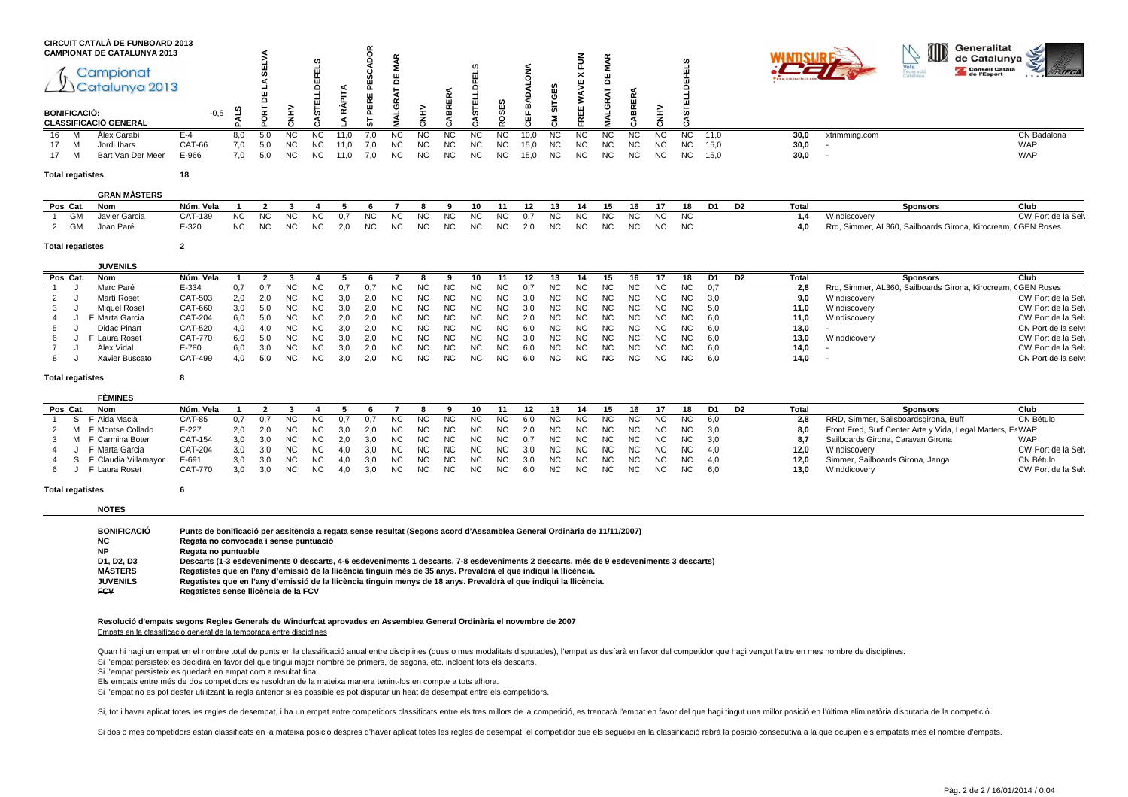|    |                     | <b>CIRCUIT CATALÀ DE FUNBOARD 2013</b><br><b>CAMPIONAT DE CATALUNYA 2013</b> |               |     |     |           |           |      |     |           |      |      |     |     |      |           |           |           |     |    |           |      |      |               | OD | Generalitat<br>de Catalunya |             |
|----|---------------------|------------------------------------------------------------------------------|---------------|-----|-----|-----------|-----------|------|-----|-----------|------|------|-----|-----|------|-----------|-----------|-----------|-----|----|-----------|------|------|---------------|----|-----------------------------|-------------|
|    |                     | Campionat<br>Catalunya 2013                                                  |               |     |     |           |           |      |     |           |      |      |     |     |      |           | $\sim$    |           |     |    |           |      |      |               |    | Consell Català              |             |
|    | <b>BONIFICACIÓ:</b> | <b>CLASSIFICACIÓ GENERAL</b>                                                 | $-0,5$        |     |     |           |           |      |     |           |      |      |     |     |      |           |           |           |     |    |           |      |      |               |    |                             |             |
| 16 | M                   | Álex Carabí                                                                  | E-4           | 8,0 | 5.0 | <b>NC</b> | <b>NC</b> | 11 N | 7.0 | <b>NC</b> | NC.  | NC.  | NC. | NC. | 10.0 | <b>NC</b> | <b>NC</b> | <b>NC</b> | NC. | NC | <b>NC</b> | 11,0 | 30,0 | xtrimming.com |    |                             | CN Badalona |
| 17 | M                   | Jordi Ibars                                                                  | <b>CAT-66</b> | 7,0 |     | NC.       | ΝC        | 11.0 | 7.0 | NC.       | NC.  | NC.  | NC. | NC. | 15.0 | <b>NC</b> | <b>NC</b> | <b>NC</b> | NC. | ΝC | NC.       | 15,0 | 30,0 |               |    |                             | <b>WAP</b>  |
| 17 | M                   | Bart Van Der Meer                                                            | E-966         | 7,0 | 5,0 | NC.       | NC.       | 11,0 | 7,0 | NC.       | NC . | NC . | NC. | NC. | 15,0 | <b>NC</b> | <b>NC</b> | <b>NC</b> | NC. | NС | NC.       | 15,0 | 30,0 |               |    |                             | <b>WAP</b>  |

#### **Total regatistes<sup>18</sup>**

**GRAN MÀSTERS**

**JUVENILS**

|         | GRAN MASIERS  |                |     |     |        |                          |  |     |                 |      |           |      |     |     |    |    |     |                                                              |                    |
|---------|---------------|----------------|-----|-----|--------|--------------------------|--|-----|-----------------|------|-----------|------|-----|-----|----|----|-----|--------------------------------------------------------------|--------------------|
| Pos Cat | Nom           | Núm.<br>. Vela |     |     |        |                          |  | 10. | $\overline{11}$ | - 12 |           | - 15 | 16. |     |    | D2 |     | Sponsors                                                     | Clur               |
| GM      | Javier Garcia | CAT-139        | NC. | NC. | NC 0.7 | ' NC NC NC NC NC NC      |  |     |                 |      | 0.7 NC NC | NC   | NC. | NC. | NC |    |     |                                                              | CW Port de la Selv |
| - GM    | Joan Paré     | E-320          | NC. | NC. |        | NC 2,0 NC NC NC NC NC NC |  |     |                 |      | 2.0 NC NC | NC.  | NC. | NC. | NC |    | 4.0 | Rrd, Simmer, AL360, Sailboards Girona, Kirocream, CGEN Roses |                    |

#### **Total regatistes<sup>2</sup>**

|          | <b>JUVLIVILJ</b> |           |     |      |      |     |      |     |      |      |     |     |     |       |     |     |     |     |     |     |       |                |       |                                                              |                     |
|----------|------------------|-----------|-----|------|------|-----|------|-----|------|------|-----|-----|-----|-------|-----|-----|-----|-----|-----|-----|-------|----------------|-------|--------------------------------------------------------------|---------------------|
| Pos Cat. | Nom              | Núm. Vela |     |      |      |     |      |     |      |      |     | 10. |     |       |     |     |     |     |     |     | D1    | D <sub>2</sub> | Total | <b>Sponsors</b>                                              | Club                |
|          | Marc Paré        | E-334     |     | 0.7  | NC.  |     |      |     |      | NC.  |     | NC. | NC. |       | NC  | NС  | NC. | NC. | NC. | ΝC  | - 0.7 |                | 2.8   | Rrd, Simmer, AL360, Sailboards Girona, Kirocream, CGEN Roses |                     |
|          | Martí Roset      | CAT-503   | 2.0 | 2.0  | - NC | NC. | 3.0  | 2.0 | NC . | NC . | NC. | NC. | NC. | 3,0   | NC. | NC. | NC. | NC. | NC. | NC. | - 3.0 |                | 9.0   | Windiscovery                                                 | CW Port de la Selv  |
|          | Miquel Roset     | CAT-660   | 3.0 | 5.0  | NC.  |     |      | 2.0 | NC.  | NC . | NC. | NC. | NC. |       | NC  | NC  | NC. | NC. | NC. | NC. | -5.0  |                | 11,0  | Windiscovery                                                 | CW Port de la Selv  |
|          | Marta Garcia     | CAT-204   | 6.0 | 5.0  | NC.  | NC. |      | 2.0 | NC.  | NC . | NC. | NC. | NC. |       | NC. | NC. | NC. | NC. | NC. | NC. | - 6.0 |                | 11.0  | Windiscovery                                                 | CW Port de la Selv  |
|          | Didac Pinart     | CAT-520   | 4.0 | 4.0  | -NC  | NC. | -3.0 | 2.0 | NC.  | NC . | NC. | NC. | NC. | 6.0   | NC  | NC  | NC. | NC. | NC. | NC. | 6.0   |                | 13,0  |                                                              | CN Port de la selva |
|          | Laura Roset      | CAT-770   | 6.0 | 5.0  | NC.  | NC. | 3.0  | 2.0 | NC.  | NC . | NC. | NC. | NC. | - 3.0 | NC. | NC. | NC. | NC. | NC. | NC. | - 6.0 |                | 13.0  | Winddicovery                                                 | CW Port de la Selv  |
|          | Alex Vidal       | E-780     | 6.0 | -3.0 | NC.  | NC. |      | 2.0 | NC.  | NC . | NC. | NC. | NC. | 6.0   | NC  | NC  | NC. | NC. | NC. | ΝC  | 6.0   |                | 14,0  |                                                              | CW Port de la Selv  |
|          | Xavier Buscato   | CAT-499   | 4.0 | 5.0  | NC.  |     | 3.0  | 2.0 | NC.  | NC . | NC. | NC. | NC. | 6.0   | NC. | NC. | NC. | NC. | NC. | NC. | 6.0   |                | 14,0  |                                                              | CN Port de la selva |

#### **Total regatistes<sup>8</sup>**

|          | <b>FEMINES</b>           |                |     |            |      |     |     |      |      |             |      |          |     |     |      |      |      |     |                    |     |    |       |                                                           |                    |
|----------|--------------------------|----------------|-----|------------|------|-----|-----|------|------|-------------|------|----------|-----|-----|------|------|------|-----|--------------------|-----|----|-------|-----------------------------------------------------------|--------------------|
| Pos Cat. | Nom                      | Núm. Vela      |     |            |      |     |     |      |      |             |      | 10.      |     |     |      |      |      | 16. | 18.                | D1  | D2 | Total | Sponsors                                                  | Club               |
|          | S FAida Macià            | CAT-85         |     |            | NC.  | NC. |     | 0.7  | NC.  | NC          | NC . | NC.      | NC. | 6.0 | NC.  | NC . | NC . |     | NC NC NC           | 6.0 |    | 2.8   | RRD, Simmer, Sailsboardsgirona, Buff                      | CN Bétulo          |
|          | 2 M F Montse Collado     | $E - 227$      |     | 2.0 2.0 NC |      | NC. | 3.0 | 2.0  | NC.  | NC N        | NC 1 | NC NC    |     | 2.0 | NC . |      |      |     | NC NC NC NC NC 3,0 |     |    | 8.0   | Front Fred, Surf Center Arte y Vida, Legal Matters, EsWAP |                    |
|          | 3 M F Carmina Boter      | CAT-154        | 3.0 | 3.0        | NC.  | NC. | 2.0 | 3.0  | NC . | NC NC NC NC |      |          |     | 0.7 | NC . |      |      |     | NC NC NC NC NC 3.0 |     |    |       | Sailboards Girona, Caravan Girona                         | <b>WAP</b>         |
| 4 J      | F Marta Garcia           | CAT-204        | 3.0 | 3.0        | - NC | NC. | 4.0 | -3.0 | ` NC | NC NC NC NC |      |          |     | 3.0 | NC . |      |      |     | NC NC NC NC NC 4.0 |     |    | 12.0  | Windiscoverv                                              | CW Port de la Selv |
|          | 4 S F Claudia Villamayor | E-691          | 3.0 | 3.0        | NC.  | NC. | 4.0 | 3.0  | NC.  | NC NO       |      | NC NC NC |     | 3.0 | NC . |      |      |     | NC NC NC NC NC 4,0 |     |    | 12.0  | Simmer, Sailboards Girona, Janga                          | CN Bétulo          |
|          | F Laura Roset            | <b>CAT-770</b> | 3.0 | 3.0        | NC   | NC. | 4.0 | 3.0  | NC . | NC NC NC NC |      |          |     | 6.0 | NC . |      |      |     | NC NC NC NC NC 6.0 |     |    | 13.0  | Winddicovery                                              | CW Port de la Selv |

#### **Total regatistes<sup>6</sup>**

#### **NOTES**

| <b>BONIFICACIÓ</b> | Punts de bonificació per assitència a regata sense resultat (Segons acord d'Assamblea General Ordinària de 11/11/2007)                 |
|--------------------|----------------------------------------------------------------------------------------------------------------------------------------|
| NC                 | Regata no convocada i sense puntuació                                                                                                  |
| <b>NP</b>          | Regata no puntuable                                                                                                                    |
| D1. D2. D3         | Descarts (1-3 esdeveniments 0 descarts, 4-6 esdeveniments 1 descarts, 7-8 esdeveniments 2 descarts, més de 9 esdeveniments 3 descarts) |
| <b>MÀSTERS</b>     | Regatistes que en l'any d'emissió de la llicència tinguin més de 35 anys. Prevaldrà el que indiqui la llicència.                       |
| <b>JUVENILS</b>    | Regatistes que en l'any d'emissió de la llicència tinguin menys de 18 anys. Prevaldrà el que indiqui la llicència.                     |
| <b>ECV</b>         | Regatistes sense Ilicència de la FCV                                                                                                   |

#### **Resolució d'empats segons Regles Generals de Windurfcat aprovades en Assemblea General Ordinària el novembre de 2007**Empats en la classificació general de la temporada entre disciplines

Quan hi hagi un empat en el nombre total de punts en la classificació anual entre disciplines (dues o mes modalitats disputades), l'empat es desfarà en favor del competidor que hagi vençut l'altre en mes nombre de discipli Si l'empat persisteix es decidirà en favor del que tingui major nombre de primers, de segons, etc. incloent tots els descarts.

Si l'empat persisteix es quedarà en empat com a resultat final.

Els empats entre més de dos competidors es resoldran de la mateixa manera tenint-los en compte a tots alhora.

Si l'empat no es pot desfer utilitzant la regla anterior si és possible es pot disputar un heat de desempat entre els competidors.

Si, tot i haver aplicat totes les regles de desempat, i ha un empat entre competidors classificats entre els tres millors de la competició, es trencarà l'empat en favor del que hagi tingut una millor posició en l'última el

Si dos o més competidors estan classificats en la mateixa posició després d'haver aplicat totes les regles de desempat, el competidor que els segueixi en la classificació rebrà la posició consecutiva a la que ocupen els em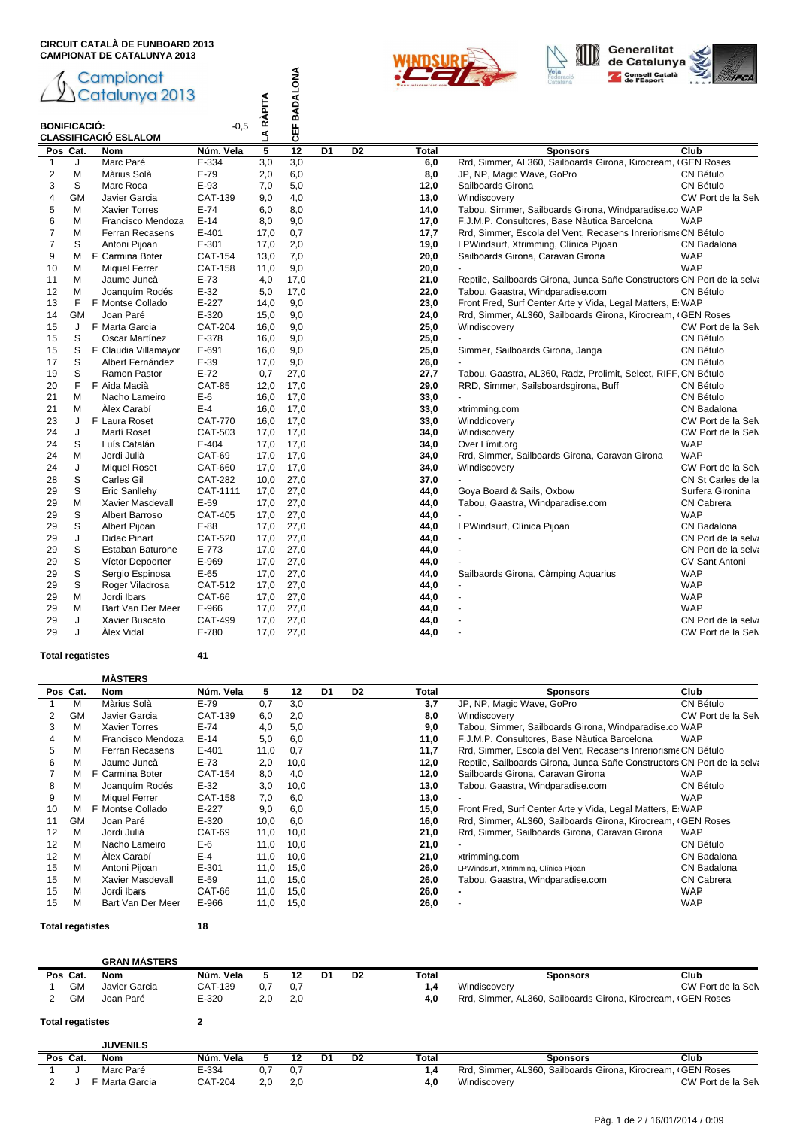



|                |                     | Campionat<br>Catalunya 2013  |                | LA RÀPITA      | CEF BADALONA     |                 |                 |       | <b>Consell Català<br/>de l'Esport</b>                                   |                     |
|----------------|---------------------|------------------------------|----------------|----------------|------------------|-----------------|-----------------|-------|-------------------------------------------------------------------------|---------------------|
|                | <b>BONIFICACIÓ:</b> | <b>CLASSIFICACIÓ ESLALOM</b> | $-0.5$         |                |                  |                 |                 |       |                                                                         |                     |
|                | Pos Cat.            | <b>Nom</b>                   | Núm. Vela      | $\overline{5}$ | $\overline{12}$  | $\overline{D1}$ | $\overline{D2}$ | Total | <b>Sponsors</b>                                                         | Club                |
| 1              | J                   | Marc Paré                    | E-334          | 3,0            | $\overline{3,0}$ |                 |                 | 6,0   | Rrd, Simmer, AL360, Sailboards Girona, Kirocream, (GEN Roses            |                     |
| $\overline{2}$ | M                   | Màrius Solà                  | $E-79$         | 2,0            | 6,0              |                 |                 | 8,0   | JP, NP, Magic Wave, GoPro                                               | CN Bétulo           |
| 3              | $\mathbb S$         | Marc Roca                    | E-93           | 7,0            | 5,0              |                 |                 | 12,0  | Sailboards Girona                                                       | CN Bétulo           |
| $\overline{4}$ | <b>GM</b>           | Javier Garcia                | CAT-139        | 9,0            | 4,0              |                 |                 | 13,0  | Windiscovery                                                            | CW Port de la Selv  |
| 5              | M                   | <b>Xavier Torres</b>         | $E-74$         | 6,0            | 8,0              |                 |                 | 14,0  | Tabou, Simmer, Sailboards Girona, Windparadise.co WAP                   |                     |
| 6              | M                   | Francisco Mendoza            | $E-14$         | 8,0            | 9,0              |                 |                 | 17,0  | F.J.M.P. Consultores, Base Nàutica Barcelona                            | <b>WAP</b>          |
| $\overline{7}$ | M                   | Ferran Recasens              | $E - 401$      | 17.0           | 0,7              |                 |                 | 17,7  | Rrd, Simmer, Escola del Vent, Recasens Inreriorisme CN Bétulo           |                     |
| $\overline{7}$ | S                   | Antoni Pijoan                | $E - 301$      | 17.0           | 2,0              |                 |                 | 19,0  | LPWindsurf, Xtrimming, Clínica Pijoan                                   | CN Badalona         |
| 9              | м                   | F Carmina Boter              | CAT-154        | 13,0           | 7,0              |                 |                 | 20,0  | Sailboards Girona, Caravan Girona                                       | <b>WAP</b>          |
| 10             | M                   | <b>Miquel Ferrer</b>         | <b>CAT-158</b> | 11,0           | 9,0              |                 |                 | 20,0  |                                                                         | <b>WAP</b>          |
| 11             | M                   | Jaume Juncà                  | $E-73$         | 4,0            | 17,0             |                 |                 | 21,0  | Reptile, Sailboards Girona, Junca Sañe Constructors CN Port de la selva |                     |
| 12             | M                   | Joanguím Rodés               | $E-32$         | 5,0            | 17,0             |                 |                 | 22,0  | Tabou, Gaastra, Windparadise.com                                        | CN Bétulo           |
| 13             | F                   | F Montse Collado             | $E-227$        | 14.0           | 9,0              |                 |                 | 23,0  | Front Fred, Surf Center Arte y Vida, Legal Matters, E: WAP              |                     |
| 14             | <b>GM</b>           | Joan Paré                    | E-320          | 15,0           | 9.0              |                 |                 | 24,0  | Rrd, Simmer, AL360, Sailboards Girona, Kirocream, GEN Roses             |                     |
| 15             | J                   | F Marta Garcia               | CAT-204        | 16.0           | 9,0              |                 |                 | 25,0  | Windiscovery                                                            | CW Port de la Selv  |
| 15             | S                   | Oscar Martínez               | E-378          | 16,0           | 9,0              |                 |                 | 25,0  |                                                                         | CN Bétulo           |
| 15             | S                   | F Claudia Villamayor         | E-691          | 16,0           | 9,0              |                 |                 | 25,0  | Simmer, Sailboards Girona, Janga                                        | CN Bétulo           |
| 17             | S                   | Albert Fernández             | $E-39$         | 17,0           | 9,0              |                 |                 | 26,0  |                                                                         | CN Bétulo           |
| 19             | S                   | Ramon Pastor                 | $E-72$         | 0,7            | 27,0             |                 |                 | 27,7  | Tabou, Gaastra, AL360, Radz, Prolimit, Select, RIFF, CN Bétulo          |                     |
| 20             | F                   | F Aida Macià                 | <b>CAT-85</b>  | 12,0           | 17,0             |                 |                 | 29,0  | RRD, Simmer, Sailsboardsgirona, Buff                                    | CN Bétulo           |
| 21             | м                   | Nacho Lameiro                | $E-6$          | 16.0           | 17,0             |                 |                 | 33,0  |                                                                         | CN Bétulo           |
| 21             | M                   | Àlex Carabí                  | $E-4$          |                | 17,0             |                 |                 |       |                                                                         | CN Badalona         |
|                |                     | F Laura Roset                |                | 16,0           |                  |                 |                 | 33,0  | xtrimming.com                                                           |                     |
| 23             | J                   |                              | <b>CAT-770</b> | 16,0           | 17,0             |                 |                 | 33,0  | Winddicovery                                                            | CW Port de la Selv  |
| 24             | J                   | Martí Roset                  | CAT-503        | 17,0           | 17,0             |                 |                 | 34,0  | Windiscovery                                                            | CW Port de la Selv  |
| 24             | S                   | Luís Catalán                 | $E-404$        | 17,0           | 17,0             |                 |                 | 34,0  | Over Límit.org                                                          | <b>WAP</b>          |
| 24             | M                   | Jordi Julià                  | CAT-69         | 17,0           | 17,0             |                 |                 | 34,0  | Rrd, Simmer, Sailboards Girona, Caravan Girona                          | <b>WAP</b>          |
| 24             | J                   | <b>Miquel Roset</b>          | CAT-660        | 17.0           | 17,0             |                 |                 | 34,0  | Windiscovery                                                            | CW Port de la Selv  |
| 28             | S                   | Carles Gil                   | <b>CAT-282</b> | 10.0           | 27.0             |                 |                 | 37,0  |                                                                         | CN St Carles de la  |
| 29             | S                   | Eric Sanllehy                | CAT-1111       | 17,0           | 27,0             |                 |                 | 44,0  | Goya Board & Sails, Oxbow                                               | Surfera Gironina    |
| 29             | M                   | Xavier Masdevall             | $E-59$         | 17,0           | 27,0             |                 |                 | 44,0  | Tabou, Gaastra, Windparadise.com                                        | <b>CN Cabrera</b>   |
| 29             | S                   | <b>Albert Barroso</b>        | <b>CAT-405</b> | 17,0           | 27,0             |                 |                 | 44,0  |                                                                         | <b>WAP</b>          |
| 29             | S                   | Albert Pijoan                | $E-88$         | 17,0           | 27,0             |                 |                 | 44,0  | LPWindsurf, Clínica Pijoan                                              | CN Badalona         |
| 29             | J                   | Didac Pinart                 | <b>CAT-520</b> | 17,0           | 27,0             |                 |                 | 44,0  |                                                                         | CN Port de la selva |
| 29             | S                   | Estaban Baturone             | E-773          | 17,0           | 27,0             |                 |                 | 44,0  |                                                                         | CN Port de la selva |
| 29             | S                   | Víctor Depoorter             | E-969          | 17,0           | 27,0             |                 |                 | 44,0  |                                                                         | CV Sant Antoni      |
| 29             | $\mathbb S$         | Sergio Espinosa              | $E-65$         | 17,0           | 27,0             |                 |                 | 44,0  | Sailbaords Girona, Càmping Aquarius                                     | <b>WAP</b>          |
| 29             | $\mathbb S$         | Roger Viladrosa              | CAT-512        | 17,0           | 27,0             |                 |                 | 44,0  |                                                                         | <b>WAP</b>          |
| 29             | M                   | Jordi Ibars                  | CAT-66         | 17,0           | 27,0             |                 |                 | 44,0  |                                                                         | <b>WAP</b>          |
| 29             | M                   | Bart Van Der Meer            | E-966          | 17,0           | 27,0             |                 |                 | 44,0  |                                                                         | <b>WAP</b>          |
| 29             | J                   | Xavier Buscato               | CAT-499        | 17,0           | 27,0             |                 |                 | 44,0  |                                                                         | CN Port de la selva |
| 29             | J                   | Alex Vidal                   | E-780          | 17,0           | 27,0             |                 |                 | 44,0  |                                                                         | CW Port de la Selv  |

## **Total regatistes 41**

# **MÀSTERS**

|    | Pos Cat. | Nom                  | Núm. Vela | 5    | 12   | D <sub>1</sub> | D <sub>2</sub> | Total | <b>Sponsors</b>                                                         | Club               |
|----|----------|----------------------|-----------|------|------|----------------|----------------|-------|-------------------------------------------------------------------------|--------------------|
|    | М        | Màrius Solà          | $E-79$    | 0.7  | 3,0  |                |                | 3,7   | JP, NP, Magic Wave, GoPro                                               | CN Bétulo          |
| 2  | GM       | Javier Garcia        | CAT-139   | 6,0  | 2,0  |                |                | 8,0   | Windiscovery                                                            | CW Port de la Selv |
| 3  | M        | <b>Xavier Torres</b> | $E-74$    | 4.0  | 5,0  |                |                | 9.0   | Tabou, Simmer, Sailboards Girona, Windparadise.co WAP                   |                    |
| 4  | M        | Francisco Mendoza    | $E-14$    | 5,0  | 6.0  |                |                | 11,0  | F.J.M.P. Consultores, Base Nàutica Barcelona                            | <b>WAP</b>         |
| 5  | M        | Ferran Recasens      | $E - 401$ | 11,0 | 0.7  |                |                | 11,7  | Rrd, Simmer, Escola del Vent, Recasens Inreriorisme CN Bétulo           |                    |
| 6  | M        | Jaume Juncà          | $E-73$    | 2,0  | 10,0 |                |                | 12,0  | Reptile, Sailboards Girona, Junca Sañe Constructors CN Port de la selva |                    |
|    | м        | F Carmina Boter      | CAT-154   | 8,0  | 4,0  |                |                | 12,0  | Sailboards Girona, Caravan Girona                                       | <b>WAP</b>         |
| 8  | М        | Joanguím Rodés       | $E-32$    | 3.0  | 10,0 |                |                | 13,0  | Tabou, Gaastra, Windparadise.com                                        | CN Bétulo          |
| 9  | М        | Miquel Ferrer        | CAT-158   | 7.0  | 6,0  |                |                | 13,0  |                                                                         | <b>WAP</b>         |
| 10 | м        | F Montse Collado     | $E - 227$ | 9,0  | 6,0  |                |                | 15,0  | Front Fred, Surf Center Arte y Vida, Legal Matters, E: WAP              |                    |
| 11 | GМ       | Joan Paré            | $E - 320$ | 10,0 | 6,0  |                |                | 16,0  | Rrd, Simmer, AL360, Sailboards Girona, Kirocream, (GEN Roses            |                    |
| 12 | M        | Jordi Julià          | CAT-69    | 11,0 | 10,0 |                |                | 21,0  | Rrd, Simmer, Sailboards Girona, Caravan Girona                          | <b>WAP</b>         |
| 12 | M        | Nacho Lameiro        | $E-6$     | 11.0 | 10.0 |                |                | 21,0  |                                                                         | CN Bétulo          |
| 12 | м        | Álex Carabí          | $E-4$     | 11.0 | 10.0 |                |                | 21,0  | xtrimming.com                                                           | CN Badalona        |
| 15 | M        | Antoni Pijoan        | $E - 301$ | 11,0 | 15,0 |                |                | 26,0  | LPWindsurf, Xtrimming, Clínica Pijoan                                   | CN Badalona        |
| 15 | M        | Xavier Masdevall     | $E-59$    | 11,0 | 15,0 |                |                | 26,0  | Tabou, Gaastra, Windparadise.com                                        | <b>CN Cabrera</b>  |
| 15 | М        | Jordi Ibars          | CAT-66    | 11,0 | 15.0 |                |                | 26,0  |                                                                         | <b>WAP</b>         |
| 15 | М        | Bart Van Der Meer    | E-966     | 11,0 | 15,0 |                |                | 26,0  |                                                                         | <b>WAP</b>         |

**Total regatistes 18**

<del>2 Vince Cat</del><br>J F Marta Garcia

|                         | <b>GRAN MASTERS</b> |           |     |     |    |                |       |                                                              |                    |
|-------------------------|---------------------|-----------|-----|-----|----|----------------|-------|--------------------------------------------------------------|--------------------|
| Pos Cat.                | Nom                 | Núm. Vela |     | 12  | D1 | D <sub>2</sub> | Total | Sponsors                                                     | Club               |
| GM                      | Javier Garcia       | CAT-139   | 0,7 | 0,7 |    |                | 1,4   | Windiscovery                                                 | CW Port de la Selv |
| GM                      | Joan Paré           | $E - 320$ | 2,0 | 2,0 |    |                | 4,0   | Rrd, Simmer, AL360, Sailboards Girona, Kirocream, (GEN Roses |                    |
| <b>Total regatistes</b> |                     |           |     |     |    |                |       |                                                              |                    |
|                         | <b>JUVENILS</b>     |           |     |     |    |                |       |                                                              |                    |
| Pos Cat.                | Nom                 | Núm. Vela |     | 12  | D1 | D <sub>2</sub> | Total | <b>Sponsors</b>                                              | Club               |

1 J Marc Paré E-334 0,7 0,7 1,4 Rrd, Simmer, AL360, Sailboards Girona, Kirocream, OSEN Roses 2 J F Marta Garcia CAT-204 2,0 2,0 1,0 1,4 Mindiscovery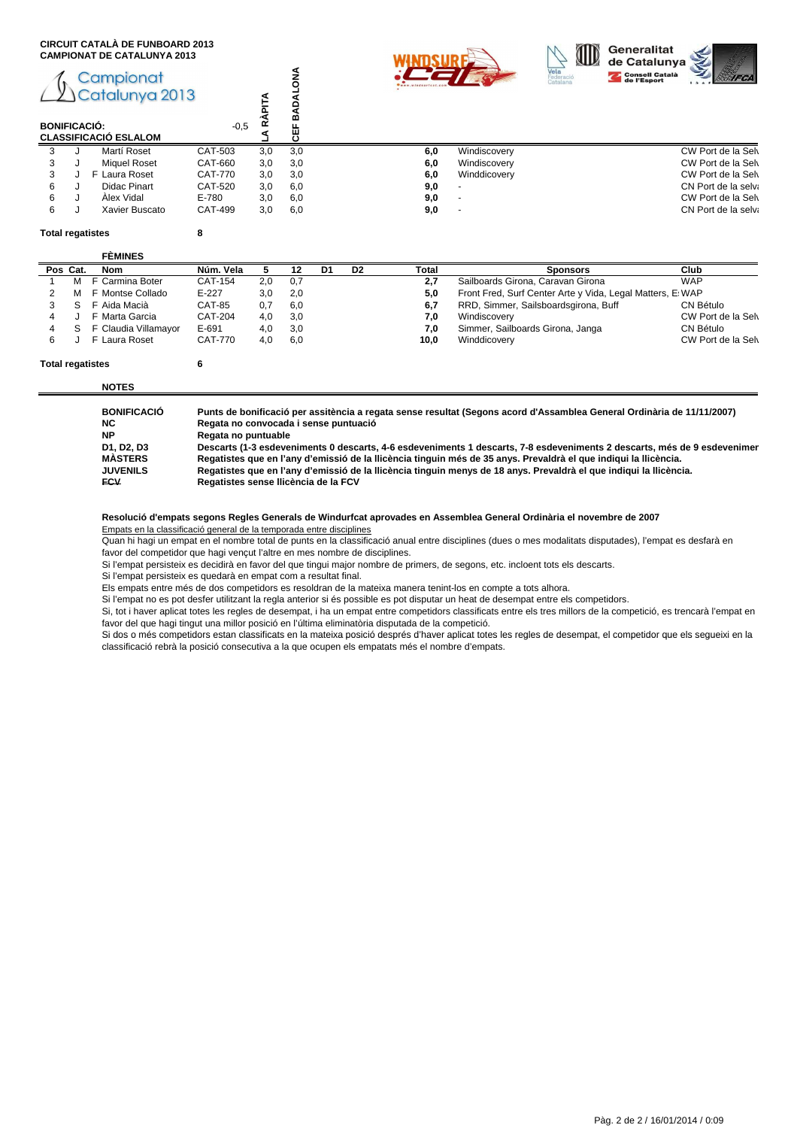



# Campionat Catalunya 2013

| Vela<br>Federació<br>Catalana<br>Campionat<br>Catalunya 2013<br>m<br>$-0,5$<br><b>BONIFICACIÓ:</b> |                     |
|----------------------------------------------------------------------------------------------------|---------------------|
| ₩<br><b>CLASSIFICACIÓ ESLALOM</b>                                                                  |                     |
| CAT-503<br>6,0<br>Martí Roset<br>3.0<br>3,0<br>Windiscovery<br>3                                   | CW Port de la Selv  |
| CAT-660<br>6,0<br><b>Miquel Roset</b><br>3.0<br>3,0<br>Windiscovery<br>3                           | CW Port de la Selv  |
| 6,0<br>CAT-770<br>3,0<br>3,0<br>Winddicovery<br>3<br>F Laura Roset                                 | CW Port de la Selv  |
| CAT-520<br>3,0<br>9,0<br>6<br>Didac Pinart<br>6,0                                                  | CN Port de la selva |
| Alex Vidal<br>9,0<br>6,0<br>6<br>E-780<br>3.0                                                      | CW Port de la Selv  |
| 9,0<br>CAT-499<br>3,0<br>6,0<br>Xavier Buscato<br>6                                                | CN Port de la selva |

#### **Total regatistes 8**

# **FÈMINES**

|   |          | FEMINES              |                |     |     |    |                |       |                                                            |                    |
|---|----------|----------------------|----------------|-----|-----|----|----------------|-------|------------------------------------------------------------|--------------------|
|   | Pos Cat. | Nom                  | Núm. Vela      |     | 12  | D1 | D <sub>2</sub> | Total | <b>Sponsors</b>                                            | Club               |
|   |          | F Carmina Boter      | CAT-154        | 2.0 | 0,7 |    |                | 2.7   | Sailboards Girona, Caravan Girona                          | <b>WAP</b>         |
|   |          | F Montse Collado     | $E - 227$      | 3.0 | 2,0 |    |                | 5.0   | Front Fred, Surf Center Arte y Vida, Legal Matters, E: WAP |                    |
|   |          | F Aida Macià         | CAT-85         | 0.7 | 6.0 |    |                | 6.7   | RRD, Simmer, Sailsboardsgirona, Buff                       | CN Bétulo          |
|   |          | F Marta Garcia       | <b>CAT-204</b> | 4.0 | 3,0 |    |                | 7.0   | Windiscovery                                               | CW Port de la Selv |
| 4 | S.       | F Claudia Villamayor | $E-691$        | 4.0 | 3,0 |    |                | 7.0   | Simmer, Sailboards Girona, Janga                           | CN Bétulo          |
|   |          | F Laura Roset        | <b>CAT-770</b> | 4.0 | 6,0 |    |                | 10.0  | Winddicovery                                               | CW Port de la Selv |
|   |          |                      |                |     |     |    |                |       |                                                            |                    |

#### **Total regatistes 6**

### **NOTES**

| <b>BONIFICACIÓ</b> | Punts de bonificació per assitència a regata sense resultat (Segons acord d'Assamblea General Ordinària de 11/11/2007)   |
|--------------------|--------------------------------------------------------------------------------------------------------------------------|
| NC.                | Regata no convocada i sense puntuació                                                                                    |
| <b>NP</b>          | Regata no puntuable                                                                                                      |
| D1, D2, D3         | Descarts (1-3 esdeveniments 0 descarts, 4-6 esdeveniments 1 descarts, 7-8 esdeveniments 2 descarts, més de 9 esdevenimer |
| <b>MASTERS</b>     | Regatistes que en l'any d'emissió de la llicència tinguin més de 35 anys. Prevaldrà el que indigui la llicència.         |
| <b>JUVENILS</b>    | Regatistes que en l'any d'emissió de la llicència tinguin menys de 18 anys. Prevaldrà el que indiqui la llicència.       |
| <b>FCV</b>         | Regatistes sense Ilicència de la FCV                                                                                     |

**Resolució d'empats segons Regles Generals de Windurfcat aprovades en Assemblea General Ordinària el novembre de 2007** Empats en la classificació general de la temporada entre disciplines

Quan hi hagi un empat en el nombre total de punts en la classificació anual entre disciplines (dues o mes modalitats disputades), l'empat es desfarà en favor del competidor que hagi vençut l'altre en mes nombre de disciplines.

Si l'empat persisteix es decidirà en favor del que tingui major nombre de primers, de segons, etc. incloent tots els descarts.

Si l'empat persisteix es quedarà en empat com a resultat final.

Els empats entre més de dos competidors es resoldran de la mateixa manera tenint-los en compte a tots alhora.

Si l'empat no es pot desfer utilitzant la regla anterior si és possible es pot disputar un heat de desempat entre els competidors.

Si, tot i haver aplicat totes les regles de desempat, i ha un empat entre competidors classificats entre els tres millors de la competició, es trencarà l'empat en favor del que hagi tingut una millor posició en l'última eliminatòria disputada de la competició.

Si dos o més competidors estan classificats en la mateixa posició després d'haver aplicat totes les regles de desempat, el competidor que els segueixi en la classificació rebrà la posició consecutiva a la que ocupen els empatats més el nombre d'empats.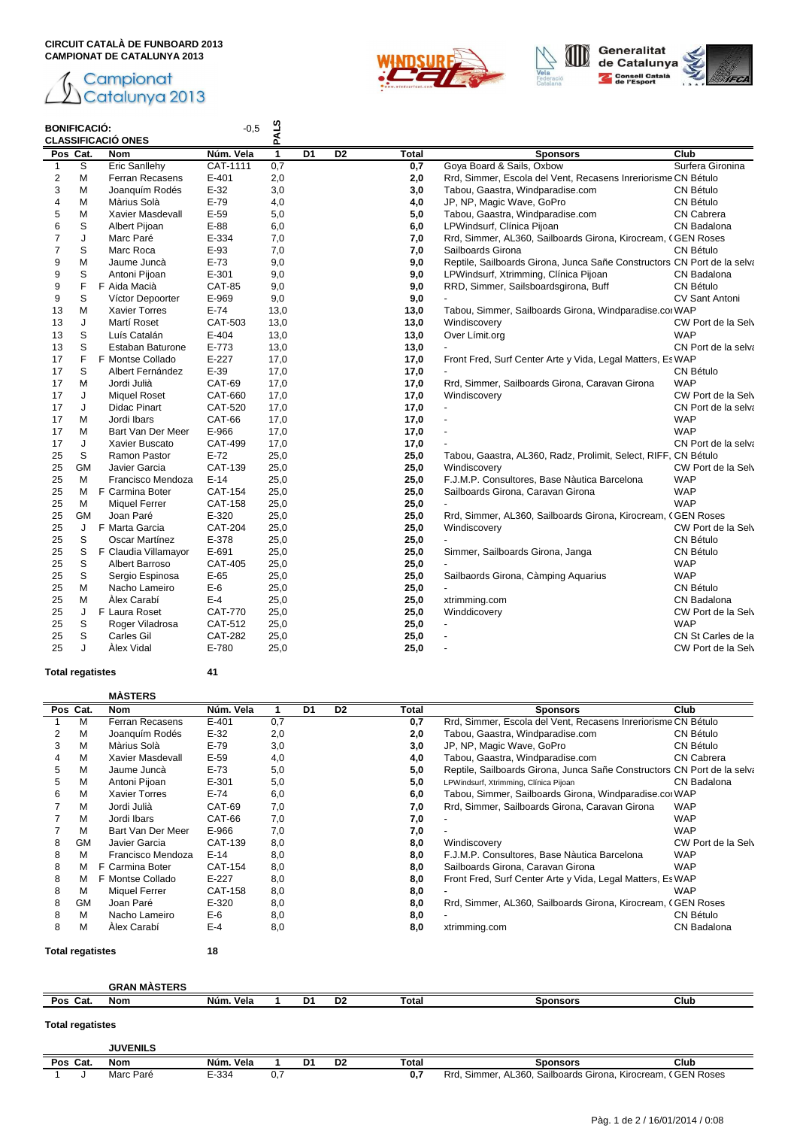





# **BONIFICACIÓ: CLASSIFICACIÓ ONES**

| <b>BONIFICACIÓ:</b> |           | <b>CLASSIFICACIO ONES</b> | $-0.5$         | <b>PALS</b>  |                |    |       |                                                                         |                     |
|---------------------|-----------|---------------------------|----------------|--------------|----------------|----|-------|-------------------------------------------------------------------------|---------------------|
| Pos Cat.            |           | Nom                       | Núm. Vela      | $\mathbf{1}$ | D <sub>1</sub> | D2 | Total | <b>Sponsors</b>                                                         | Club                |
| $\mathbf{1}$        | S         | Eric Sanllehy             | CAT-1111       | 0,7          |                |    | 0,7   | Goya Board & Sails, Oxbow                                               | Surfera Gironina    |
| 2                   | M         | Ferran Recasens           | $E - 401$      | 2,0          |                |    | 2,0   | Rrd, Simmer, Escola del Vent, Recasens Inreriorisme CN Bétulo           |                     |
| 3                   | M         | Joanquím Rodés            | $E-32$         | 3,0          |                |    | 3,0   | Tabou, Gaastra, Windparadise.com                                        | CN Bétulo           |
| 4                   | M         | Màrius Solà               | $E-79$         | 4,0          |                |    | 4,0   | JP, NP, Magic Wave, GoPro                                               | CN Bétulo           |
| 5                   | M         | Xavier Masdevall          | $E-59$         | 5,0          |                |    | 5,0   | Tabou, Gaastra, Windparadise.com                                        | <b>CN Cabrera</b>   |
| 6                   | S         | Albert Pijoan             | $E-88$         | 6,0          |                |    | 6,0   | LPWindsurf, Clínica Pijoan                                              | CN Badalona         |
| $\overline{7}$      | J         | Marc Paré                 | E-334          | 7,0          |                |    | 7,0   | Rrd, Simmer, AL360, Sailboards Girona, Kirocream, CGEN Roses            |                     |
| $\overline{7}$      | S         | Marc Roca                 | $E-93$         | 7,0          |                |    | 7,0   | Sailboards Girona                                                       | <b>CN Bétulo</b>    |
| 9                   | M         | Jaume Juncà               | $E-73$         | 9,0          |                |    | 9,0   | Reptile, Sailboards Girona, Junca Sañe Constructors CN Port de la selva |                     |
| 9                   | S         | Antoni Pijoan             | E-301          | 9,0          |                |    | 9,0   | LPWindsurf, Xtrimming, Clínica Pijoan                                   | CN Badalona         |
| 9                   | F         | F Aida Macià              | <b>CAT-85</b>  | 9,0          |                |    | 9,0   | RRD, Simmer, Sailsboardsgirona, Buff                                    | CN Bétulo           |
| 9                   | S         | Víctor Depoorter          | E-969          | 9,0          |                |    | 9,0   |                                                                         | CV Sant Antoni      |
| 13                  | M         | <b>Xavier Torres</b>      | $E-74$         | 13,0         |                |    | 13,0  | Tabou, Simmer, Sailboards Girona, Windparadise.col WAP                  |                     |
| 13                  | J         | Martí Roset               | CAT-503        | 13,0         |                |    | 13,0  | Windiscovery                                                            | CW Port de la Selv  |
| 13                  | S         | Luís Catalán              | $E-404$        | 13,0         |                |    | 13,0  | Over Límit.org                                                          | <b>WAP</b>          |
| 13                  | S         | <b>Estaban Baturone</b>   | E-773          | 13,0         |                |    | 13,0  |                                                                         | CN Port de la selva |
| 17                  | F         | F Montse Collado          | $E-227$        | 17,0         |                |    | 17,0  | Front Fred, Surf Center Arte y Vida, Legal Matters, Es WAP              |                     |
| 17                  | S         | Albert Fernández          | E-39           | 17,0         |                |    | 17,0  |                                                                         | <b>CN Bétulo</b>    |
| 17                  | М         | Jordi Julià               | <b>CAT-69</b>  | 17,0         |                |    | 17,0  | Rrd, Simmer, Sailboards Girona, Caravan Girona                          | <b>WAP</b>          |
| 17                  | J         | <b>Miquel Roset</b>       | CAT-660        | 17,0         |                |    | 17,0  | Windiscovery                                                            | CW Port de la Selv  |
| 17                  | J         | <b>Didac Pinart</b>       | CAT-520        | 17,0         |                |    | 17,0  | $\sim$                                                                  | CN Port de la selva |
| 17                  | М         | Jordi Ibars               | CAT-66         | 17,0         |                |    | 17,0  | $\overline{\phantom{a}}$                                                | <b>WAP</b>          |
| 17                  | M         | Bart Van Der Meer         | E-966          | 17,0         |                |    | 17,0  |                                                                         | <b>WAP</b>          |
| 17                  | J         | Xavier Buscato            | <b>CAT-499</b> | 17,0         |                |    | 17,0  |                                                                         | CN Port de la selva |
| 25                  | S         | Ramon Pastor              | $E-72$         | 25,0         |                |    | 25,0  | Tabou, Gaastra, AL360, Radz, Prolimit, Select, RIFF, CN Bétulo          |                     |
| 25                  | <b>GM</b> | Javier Garcia             | <b>CAT-139</b> | 25,0         |                |    | 25,0  | Windiscovery                                                            | CW Port de la Selv  |
| 25                  | M         | Francisco Mendoza         | $E-14$         | 25,0         |                |    | 25,0  | F.J.M.P. Consultores, Base Nàutica Barcelona                            | <b>WAP</b>          |
| 25                  | M         | F Carmina Boter           | <b>CAT-154</b> | 25,0         |                |    | 25,0  | Sailboards Girona, Caravan Girona                                       | <b>WAP</b>          |
| 25                  | м         | Miquel Ferrer             | CAT-158        | 25,0         |                |    | 25,0  |                                                                         | <b>WAP</b>          |
| 25                  | <b>GM</b> | Joan Paré                 | E-320          | 25,0         |                |    | 25,0  | Rrd, Simmer, AL360, Sailboards Girona, Kirocream, CGEN Roses            |                     |
| 25                  | J         | F Marta Garcia            | <b>CAT-204</b> | 25,0         |                |    | 25,0  | Windiscovery                                                            | CW Port de la Selv  |
| 25                  | S         | Oscar Martínez            | E-378          | 25,0         |                |    | 25,0  |                                                                         | CN Bétulo           |
| 25                  | S         | F Claudia Villamayor      | E-691          | 25,0         |                |    | 25,0  | Simmer, Sailboards Girona, Janga                                        | <b>CN Bétulo</b>    |
|                     | S         |                           |                |              |                |    |       |                                                                         |                     |
| 25                  |           | Albert Barroso            | <b>CAT-405</b> | 25,0         |                |    | 25,0  |                                                                         | <b>WAP</b>          |
| 25                  | S<br>M    | Sergio Espinosa           | $E-65$         | 25,0         |                |    | 25,0  | Sailbaords Girona, Càmping Aquarius                                     | <b>WAP</b>          |
| 25                  |           | Nacho Lameiro             | E-6            | 25,0         |                |    | 25,0  |                                                                         | <b>CN Bétulo</b>    |
| 25                  | M         | Álex Carabí               | $E-4$          | 25,0         |                |    | 25,0  | xtrimming.com                                                           | CN Badalona         |
| 25                  | J         | F Laura Roset             | <b>CAT-770</b> | 25,0         |                |    | 25,0  | Winddicovery                                                            | CW Port de la Selv  |
| 25                  | S         | Roger Viladrosa           | CAT-512        | 25,0         |                |    | 25,0  |                                                                         | <b>WAP</b>          |
| 25                  | S         | Carles Gil                | <b>CAT-282</b> | 25,0         |                |    | 25,0  |                                                                         | CN St Carles de la  |
| 25                  | J         | Alex Vidal                | E-780          | 25,0         |                |    | 25,0  |                                                                         | CW Port de la Selv  |

## **Total regatistes 41**

|  | <b>MASTERS</b> |
|--|----------------|

|                         |           | <b>MAJIERJ</b>       |           |     |    |                |       |                                                                         |                    |
|-------------------------|-----------|----------------------|-----------|-----|----|----------------|-------|-------------------------------------------------------------------------|--------------------|
|                         | Pos Cat.  | <b>Nom</b>           | Núm. Vela |     | D1 | D <sub>2</sub> | Total | <b>Sponsors</b>                                                         | Club               |
|                         | М         | Ferran Recasens      | $E - 401$ | 0,7 |    |                | 0,7   | Rrd, Simmer, Escola del Vent, Recasens Inreriorisme CN Bétulo           |                    |
| 2                       | М         | Joanguím Rodés       | $E-32$    | 2,0 |    |                | 2,0   | Tabou, Gaastra, Windparadise.com                                        | CN Bétulo          |
| 3                       | M         | Màrius Solà          | $E-79$    | 3,0 |    |                | 3,0   | JP, NP, Magic Wave, GoPro                                               | CN Bétulo          |
| 4                       | M         | Xavier Masdevall     | $E-59$    | 4,0 |    |                | 4,0   | Tabou, Gaastra, Windparadise.com                                        | <b>CN Cabrera</b>  |
| 5                       | М         | Jaume Juncà          | $E-73$    | 5,0 |    |                | 5,0   | Reptile, Sailboards Girona, Junca Sañe Constructors CN Port de la selva |                    |
| 5                       | M         | Antoni Pijoan        | E-301     | 5,0 |    |                | 5,0   | LPWindsurf, Xtrimming, Clínica Pijoan                                   | CN Badalona        |
| 6                       | м         | <b>Xavier Torres</b> | $E-74$    | 6,0 |    |                | 6,0   | Tabou, Simmer, Sailboards Girona, Windparadise.col WAP                  |                    |
|                         | M         | Jordi Julià          | CAT-69    | 7,0 |    |                | 7.0   | Rrd, Simmer, Sailboards Girona, Caravan Girona                          | <b>WAP</b>         |
|                         | M         | Jordi Ibars          | CAT-66    | 7,0 |    |                | 7,0   |                                                                         | <b>WAP</b>         |
|                         | м         | Bart Van Der Meer    | E-966     | 7,0 |    |                | 7,0   |                                                                         | <b>WAP</b>         |
| 8                       | GМ        | Javier Garcia        | CAT-139   | 8,0 |    |                | 8,0   | Windiscovery                                                            | CW Port de la Selv |
| 8                       | M         | Francisco Mendoza    | $E-14$    | 8,0 |    |                | 8,0   | F.J.M.P. Consultores, Base Nàutica Barcelona                            | <b>WAP</b>         |
| 8                       | м         | Carmina Boter<br>F   | CAT-154   | 8,0 |    |                | 8,0   | Sailboards Girona, Caravan Girona                                       | <b>WAP</b>         |
| 8                       | м         | Montse Collado<br>F  | $E - 227$ | 8,0 |    |                | 8,0   | Front Fred, Surf Center Arte y Vida, Legal Matters, Es WAP              |                    |
| 8                       | м         | Miquel Ferrer        | CAT-158   | 8,0 |    |                | 8,0   |                                                                         | <b>WAP</b>         |
| 8                       | <b>GM</b> | Joan Paré            | E-320     | 8,0 |    |                | 8,0   | Rrd, Simmer, AL360, Sailboards Girona, Kirocream, CGEN Roses            |                    |
| 8                       | M         | Nacho Lameiro        | $E-6$     | 8,0 |    |                | 8,0   |                                                                         | CN Bétulo          |
| 8                       | M         | Álex Carabí          | $E-4$     | 8,0 |    |                | 8,0   | xtrimming.com                                                           | CN Badalona        |
| <b>Total regatistes</b> |           |                      | 18        |     |    |                |       |                                                                         |                    |

**GRAN MÀSTERS Pos Cat. Nom Núm. Vela 1 D1 D2 Total Sponsors Club Total regatistes JUVENILS Pos Cat. Nom Núm. Vela 1 D1 D2 Total Sponsors Club**

1 J Marc Paré E-334 0,7 **0,7** Rrd, Simmer, AL360, Sailboards Girona, Kirocream, CGEN Roses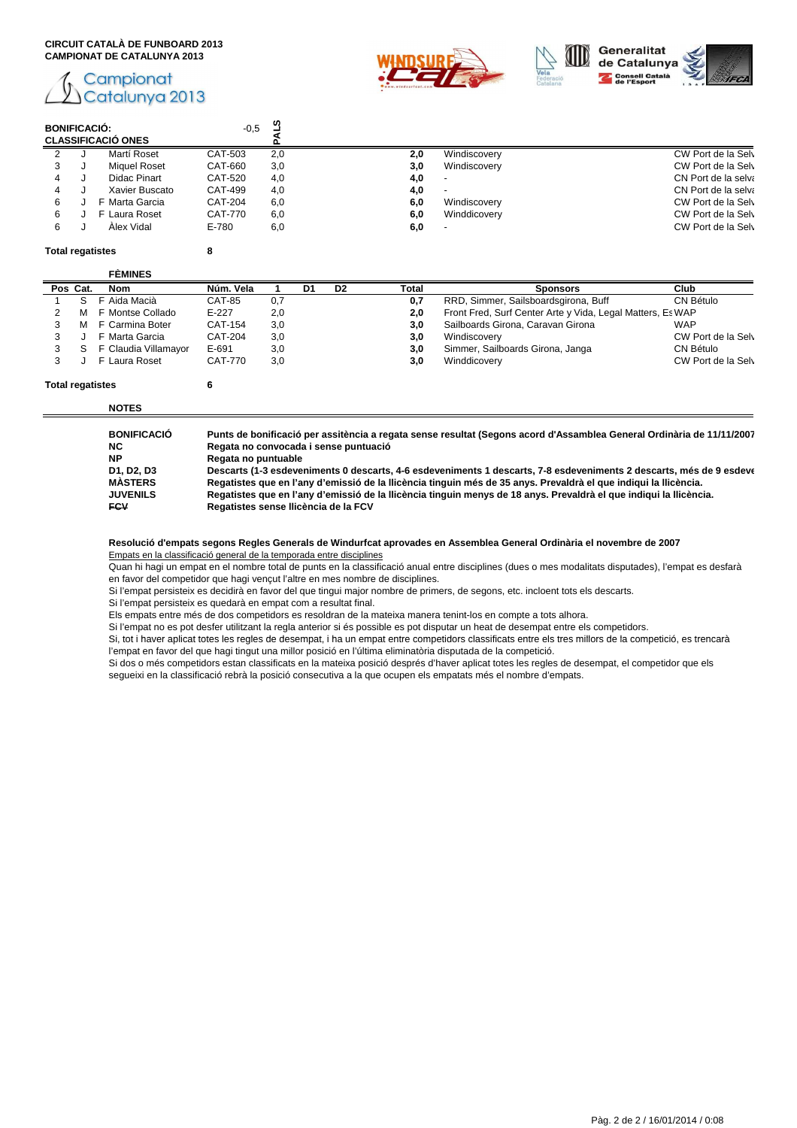# Campionat Catalunya 2013





| <b>BONIFICACIÓ:</b> | <b>CLASSIFICACIÓ ONES</b> | $-0,5$         | ⊶.  |     |              |                     |
|---------------------|---------------------------|----------------|-----|-----|--------------|---------------------|
|                     | Martí Roset               | CAT-503        | 2,0 | 2.0 | Windiscovery | CW Port de la Selv  |
|                     | <b>Miguel Roset</b>       | CAT-660        | 3,0 | 3.0 | Windiscovery | CW Port de la Selv  |
|                     | Didac Pinart              | CAT-520        | 4.0 | 4.0 |              | CN Port de la selva |
|                     | Xavier Buscato            | CAT-499        | 4,0 | 4.0 |              | CN Port de la selva |
| 6                   | F Marta Garcia            | <b>CAT-204</b> | 6,0 | 6,0 | Windiscovery | CW Port de la Selv  |
| 6                   | F Laura Roset             | CAT-770        | 6,0 | 6,0 | Winddicovery | CW Port de la Selv  |
| 6                   | Alex Vidal                | E-780          | 6,0 | 6,0 |              | CW Port de la Selv  |

#### **Total regatistes 8**

| <b>CÉMINICO</b> |  |
|-----------------|--|

| Pos Cat.<br><b>Nom</b> | Núm. Vela      |     | D1 | D <sub>2</sub> |       |                                                            |                    |
|------------------------|----------------|-----|----|----------------|-------|------------------------------------------------------------|--------------------|
|                        |                |     |    |                | Total | <b>Sponsors</b>                                            | Club               |
| Aida Macià             | <b>CAT-85</b>  | 0,7 |    |                | 0,7   | RRD, Simmer, Sailsboardsgirona, Buff                       | CN Bétulo          |
| F Montse Collado       | $E-227$        | 2.0 |    |                | 2.0   | Front Fred, Surf Center Arte y Vida, Legal Matters, Es WAP |                    |
| F Carmina Boter        | CAT-154        | 3,0 |    |                | 3.0   | Sailboards Girona, Caravan Girona                          | <b>WAP</b>         |
| F Marta Garcia         | <b>CAT-204</b> | 3,0 |    |                | 3,0   | Windiscovery                                               | CW Port de la Selv |
| F Claudia Villamayor   | E-691          | 3,0 |    |                | 3,0   | Simmer, Sailboards Girona, Janga                           | CN Bétulo          |
| F Laura Roset          | CAT-770        | 3,0 |    |                | 3,0   | Winddicovery                                               | CW Port de la Selv |
|                        |                |     |    |                |       |                                                            |                    |

# **Total regatistes 6**

**NOTES**

**BONIFICACIÓ Punts de bonificació per assitència a regata sense resultat (Segons acord d'Assamblea General Ordinària de 11/11/2007) NC Regata no convocada i sense puntuació**

| Regata no puntuable |
|---------------------|
|                     |

 $\epsilon$ 

**D1, D2, D3 Descarts (1-3 esdeveniments 0 descarts, 4-6 esdeveniments 1 descarts, 7-8 esdeveniments 2 descarts, més de 9 esdeveniments 3 descarts) MÀSTERS Regatistes que en l'any d'emissió de la llicència tinguin més de 35 anys. Prevaldrà el que indiqui la llicència. JUVENILS Regatistes que en l'any d'emissió de la llicència tinguin menys de 18 anys. Prevaldrà el que indiqui la llicència. FCV Regatistes sense llicència de la FCV**

**Resolució d'empats segons Regles Generals de Windurfcat aprovades en Assemblea General Ordinària el novembre de 2007**

Empats en la classificació general de la temporada entre disciplines

Quan hi hagi un empat en el nombre total de punts en la classificació anual entre disciplines (dues o mes modalitats disputades), l'empat es desfarà en favor del competidor que hagi vençut l'altre en mes nombre de disciplines.

Si l'empat persisteix es decidirà en favor del que tingui major nombre de primers, de segons, etc. incloent tots els descarts.

Si l'empat persisteix es quedarà en empat com a resultat final.

Els empats entre més de dos competidors es resoldran de la mateixa manera tenint-los en compte a tots alhora.

Si l'empat no es pot desfer utilitzant la regla anterior si és possible es pot disputar un heat de desempat entre els competidors.

Si, tot i haver aplicat totes les regles de desempat, i ha un empat entre competidors classificats entre els tres millors de la competició, es trencarà l'empat en favor del que hagi tingut una millor posició en l'última eliminatòria disputada de la competició.

Si dos o més competidors estan classificats en la mateixa posició després d'haver aplicat totes les regles de desempat, el competidor que els segueixi en la classificació rebrà la posició consecutiva a la que ocupen els empatats més el nombre d'empats.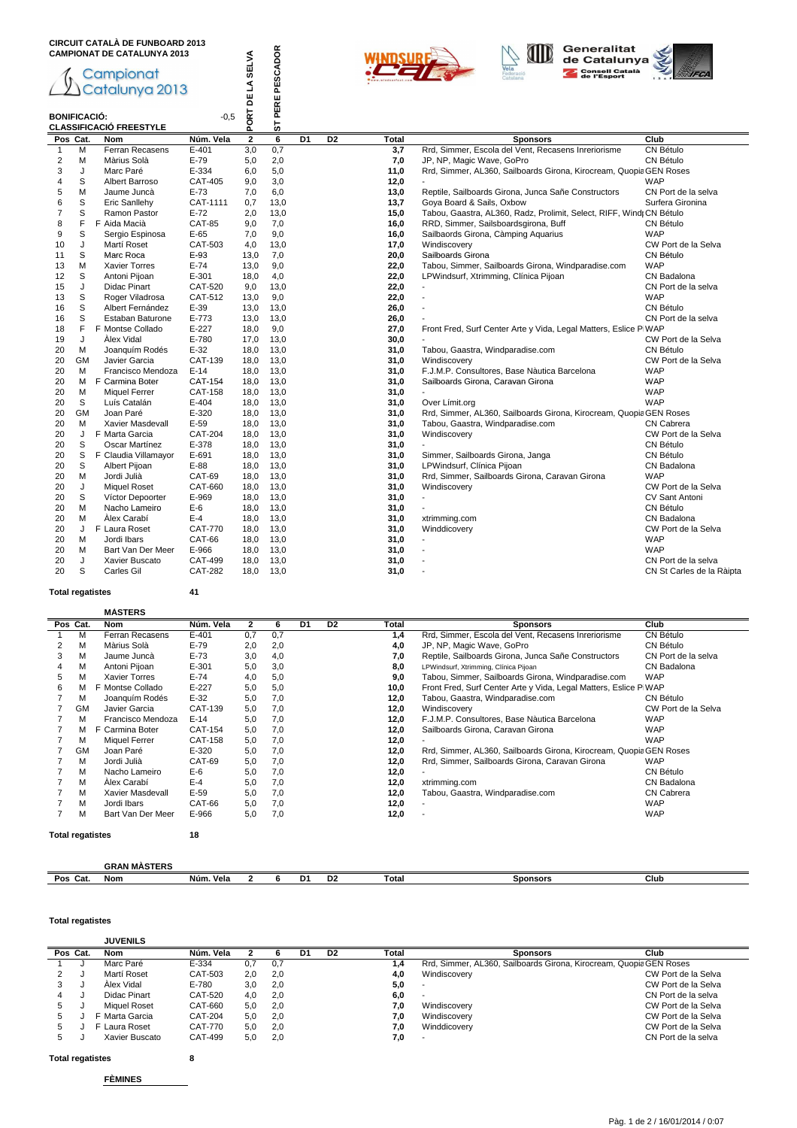





| <b>CAMPIONAT DE CATALUNYA 2013</b> |           |                                |                |                | ST PERE PESCADOR        |    |                |              | Generalitat<br>de Catalunya                                          |                           |
|------------------------------------|-----------|--------------------------------|----------------|----------------|-------------------------|----|----------------|--------------|----------------------------------------------------------------------|---------------------------|
|                                    |           |                                |                | <b>SELVA</b>   |                         |    |                |              | /ela<br><b>Consell Català</b>                                        |                           |
|                                    |           | Campionat<br>Catalunya 2013    |                |                |                         |    |                |              | de l'Esport                                                          |                           |
|                                    |           |                                |                | J              |                         |    |                |              |                                                                      |                           |
|                                    |           |                                |                | 님              |                         |    |                |              |                                                                      |                           |
| <b>BONIFICACIÓ:</b>                |           |                                | $-0.5$         | ORT            |                         |    |                |              |                                                                      |                           |
|                                    |           | <b>CLASSIFICACIÓ FREESTYLE</b> |                | Δ.             |                         |    |                |              |                                                                      |                           |
|                                    | Pos Cat.  | <b>Nom</b>                     | Núm. Vela      | $\overline{2}$ | $\overline{\mathbf{6}}$ | D1 | D <sub>2</sub> | <b>Total</b> | <b>Sponsors</b>                                                      | Club                      |
| $\mathbf{1}$                       | M         | Ferran Recasens                | $E-401$        | 3,0            | 0,7                     |    |                | 3,7          | Rrd, Simmer, Escola del Vent, Recasens Inreriorisme                  | CN Bétulo                 |
| $\overline{2}$                     | M         | Màrius Solà                    | $E-79$         | 5,0            | 2,0                     |    |                | 7,0          | JP, NP, Magic Wave, GoPro                                            | CN Bétulo                 |
| 3                                  | J         | Marc Paré                      | E-334          | 6,0            | 5,0                     |    |                | 11,0         | Rrd, Simmer, AL360, Sailboards Girona, Kirocream, Quopia GEN Roses   |                           |
| 4                                  | S         | Albert Barroso                 | CAT-405        | 9,0            | 3,0                     |    |                | 12,0         |                                                                      | <b>WAP</b>                |
| 5                                  | M         | Jaume Juncà                    | $E-73$         | 7,0            | 6,0                     |    |                | 13,0         | Reptile, Sailboards Girona, Junca Sañe Constructors                  | CN Port de la selva       |
| 6                                  | S         | Eric Sanllehy                  | CAT-1111       | 0,7            | 13,0                    |    |                | 13,7         | Goya Board & Sails, Oxbow                                            | Surfera Gironina          |
| $\overline{7}$                     | S         | Ramon Pastor                   | $E-72$         | 2.0            | 13,0                    |    |                | 15,0         | Tabou, Gaastra, AL360, Radz, Prolimit, Select, RIFF, Wind; CN Bétulo |                           |
| 8                                  | F         | F Aida Macià                   | <b>CAT-85</b>  | 9,0            | 7,0                     |    |                | 16,0         | RRD, Simmer, Sailsboardsgirona, Buff                                 | CN Bétulo                 |
| 9                                  | S         | Sergio Espinosa                | $E-65$         | 7.0            | 9,0                     |    |                | 16,0         | Sailbaords Girona, Càmping Aquarius                                  | <b>WAP</b>                |
| 10                                 | J         | Martí Roset                    | CAT-503        | 4,0            | 13,0                    |    |                | 17,0         | Windiscovery                                                         | CW Port de la Selva       |
| 11                                 | S         | Marc Roca                      | $E-93$         | 13,0           | 7,0                     |    |                | 20,0         | Sailboards Girona                                                    | CN Bétulo                 |
| 13                                 | M         | <b>Xavier Torres</b>           | $E-74$         | 13,0           | 9,0                     |    |                | 22,0         | Tabou, Simmer, Sailboards Girona, Windparadise.com                   | <b>WAP</b>                |
| 12                                 | S         | Antoni Pijoan                  | E-301          | 18,0           | 4,0                     |    |                | 22,0         | LPWindsurf, Xtrimming, Clínica Pijoan                                | CN Badalona               |
| 15                                 | J         | <b>Didac Pinart</b>            | CAT-520        | 9,0            | 13,0                    |    |                | 22,0         |                                                                      | CN Port de la selva       |
| 13                                 | S         | Roger Viladrosa                | CAT-512        | 13,0           | 9,0                     |    |                | 22,0         |                                                                      | <b>WAP</b>                |
| 16                                 | S         | Albert Fernández               | $E-39$         | 13,0           | 13,0                    |    |                | 26,0         | $\overline{a}$                                                       | CN Bétulo                 |
| 16                                 | S         | Estaban Baturone               | $E - 773$      | 13,0           | 13,0                    |    |                | 26,0         |                                                                      | CN Port de la selva       |
| 18                                 | F         | F Montse Collado               | $E-227$        | 18,0           | 9,0                     |    |                | 27,0         | Front Fred, Surf Center Arte y Vida, Legal Matters, Eslice P WAP     |                           |
| 19                                 | J         | Alex Vidal                     | E-780          | 17,0           | 13,0                    |    |                | 30,0         |                                                                      | CW Port de la Selva       |
| 20                                 | м         | Joanguím Rodés                 | $E-32$         | 18,0           | 13,0                    |    |                | 31,0         | Tabou, Gaastra, Windparadise.com                                     | CN Bétulo                 |
| 20                                 | <b>GM</b> | Javier Garcia                  | CAT-139        | 18,0           | 13,0                    |    |                | 31,0         | Windiscovery                                                         | CW Port de la Selva       |
| 20                                 | м         | Francisco Mendoza              | $E-14$         | 18,0           | 13,0                    |    |                | 31,0         | F.J.M.P. Consultores, Base Nàutica Barcelona                         | <b>WAP</b>                |
| 20                                 | M         | F Carmina Boter                | CAT-154        | 18,0           | 13,0                    |    |                | 31,0         | Sailboards Girona, Caravan Girona                                    | <b>WAP</b>                |
| 20                                 | М         | <b>Miquel Ferrer</b>           | <b>CAT-158</b> | 18,0           | 13,0                    |    |                | 31,0         |                                                                      | <b>WAP</b>                |
| 20                                 | S         | Luís Catalán                   | $E-404$        | 18,0           | 13,0                    |    |                | 31,0         | Over Límit.org                                                       | <b>WAP</b>                |
| 20                                 | <b>GM</b> | Joan Paré                      | E-320          | 18,0           | 13,0                    |    |                | 31,0         | Rrd, Simmer, AL360, Sailboards Girona, Kirocream, Quopia GEN Roses   |                           |
| 20                                 | м         | Xavier Masdevall               | $E-59$         | 18,0           | 13,0                    |    |                | 31,0         | Tabou, Gaastra, Windparadise.com                                     | <b>CN Cabrera</b>         |
| 20                                 | J         | F Marta Garcia                 | <b>CAT-204</b> | 18,0           | 13,0                    |    |                | 31,0         | Windiscovery                                                         | CW Port de la Selva       |
| 20                                 | S         | Oscar Martínez                 | E-378          | 18,0           | 13,0                    |    |                | 31,0         |                                                                      | CN Bétulo                 |
| 20                                 | S         | F Claudia Villamayor           | E-691          | 18.0           | 13,0                    |    |                | 31,0         | Simmer, Sailboards Girona, Janga                                     | CN Bétulo                 |
| 20                                 | S         | Albert Pijoan                  | E-88           | 18,0           | 13,0                    |    |                | 31,0         | LPWindsurf, Clínica Pijoan                                           | CN Badalona               |
| 20                                 | M         | Jordi Julià                    | CAT-69         | 18,0           | 13,0                    |    |                | 31,0         | Rrd, Simmer, Sailboards Girona, Caravan Girona                       | <b>WAP</b>                |
| 20                                 | J         | <b>Miquel Roset</b>            | CAT-660        | 18,0           | 13,0                    |    |                | 31,0         | Windiscovery                                                         | CW Port de la Selva       |
| 20                                 | S         | Víctor Depoorter               | E-969          | 18,0           | 13,0                    |    |                | 31,0         | $\overline{\phantom{a}}$                                             | <b>CV Sant Antoni</b>     |
| 20                                 | M         | Nacho Lameiro                  | E-6            | 18,0           | 13,0                    |    |                | 31,0         |                                                                      | CN Bétulo                 |
| 20                                 | M         | Àlex Carabí                    | $E-4$          | 18,0           | 13,0                    |    |                | 31,0         | xtrimming.com                                                        | CN Badalona               |
| 20                                 | J         | F Laura Roset                  | <b>CAT-770</b> | 18,0           | 13,0                    |    |                | 31,0         | Winddicovery                                                         | CW Port de la Selva       |
| 20                                 | M         | Jordi Ibars                    | CAT-66         | 18,0           | 13,0                    |    |                | 31,0         | $\overline{\phantom{a}}$                                             | <b>WAP</b>                |
| 20                                 | м         | Bart Van Der Meer              | E-966          | 18,0           | 13,0                    |    |                | 31,0         |                                                                      | <b>WAP</b>                |
| 20                                 | J         | Xavier Buscato                 | CAT-499        | 18,0           | 13,0                    |    |                | 31,0         |                                                                      | CN Port de la selva       |
| 20                                 | S         | Carles Gil                     | <b>CAT-282</b> | 18,0           | 13,0                    |    |                | 31,0         |                                                                      | CN St Carles de la Ràipta |

#### **Total regatistes 41**

#### **MÀSTERS**

|   | Pos Cat.                      | <b>Nom</b>           | Núm. Vela | 2   | 6   | D1 | D <sub>2</sub> | Total | <b>Sponsors</b>                                                    | Club                |
|---|-------------------------------|----------------------|-----------|-----|-----|----|----------------|-------|--------------------------------------------------------------------|---------------------|
|   | м                             | Ferran Recasens      | $E - 401$ | 0,7 | 0.7 |    |                | 1,4   | Rrd, Simmer, Escola del Vent, Recasens Inreriorisme                | CN Bétulo           |
|   | М                             | Màrius Solà          | $E-79$    | 2,0 | 2,0 |    |                | 4,0   | JP, NP, Magic Wave, GoPro                                          | CN Bétulo           |
| 3 | М                             | Jaume Juncà          | $E-73$    | 3,0 | 4,0 |    |                | 7,0   | Reptile, Sailboards Girona, Junca Sañe Constructors                | CN Port de la selva |
| 4 | М                             | Antoni Pijoan        | $E-301$   | 5,0 | 3,0 |    |                | 8,0   | LPWindsurf, Xtrimming, Clínica Pijoan                              | CN Badalona         |
| 5 | М                             | <b>Xavier Torres</b> | $E-74$    | 4,0 | 5,0 |    |                | 9,0   | Tabou, Simmer, Sailboards Girona, Windparadise.com                 | <b>WAP</b>          |
| 6 | м                             | F Montse Collado     | $E-227$   | 5,0 | 5,0 |    |                | 10,0  | Front Fred, Surf Center Arte y Vida, Legal Matters, Eslice P WAP   |                     |
|   | М                             | Joanguím Rodés       | $E-32$    | 5,0 | 7,0 |    |                | 12,0  | Tabou, Gaastra, Windparadise.com                                   | CN Bétulo           |
|   | GM                            | Javier Garcia        | CAT-139   | 5,0 | 7.0 |    |                | 12,0  | Windiscovery                                                       | CW Port de la Selva |
|   | М                             | Francisco Mendoza    | $E-14$    | 5,0 | 7.0 |    |                | 12,0  | F.J.M.P. Consultores. Base Nàutica Barcelona                       | <b>WAP</b>          |
|   | м                             | F Carmina Boter      | CAT-154   | 5,0 | 7,0 |    |                | 12,0  | Sailboards Girona, Caravan Girona                                  | <b>WAP</b>          |
|   | м                             | <b>Miquel Ferrer</b> | CAT-158   | 5,0 | 7,0 |    |                | 12,0  |                                                                    | <b>WAP</b>          |
|   | GM                            | Joan Paré            | $E - 320$ | 5,0 | 7.0 |    |                | 12,0  | Rrd, Simmer, AL360, Sailboards Girona, Kirocream, Quopia GEN Roses |                     |
|   | м                             | Jordi Julià          | CAT-69    | 5,0 | 7,0 |    |                | 12,0  | Rrd, Simmer, Sailboards Girona, Caravan Girona                     | <b>WAP</b>          |
|   | М                             | Nacho Lameiro        | $E-6$     | 5,0 | 7.0 |    |                | 12,0  |                                                                    | CN Bétulo           |
|   | М                             | Alex Carabí          | $E-4$     | 5,0 | 7,0 |    |                | 12,0  | xtrimming.com                                                      | CN Badalona         |
|   | м                             | Xavier Masdevall     | $E-59$    | 5,0 | 7.0 |    |                | 12,0  | Tabou, Gaastra, Windparadise.com                                   | CN Cabrera          |
|   | М                             | Jordi Ibars          | CAT-66    | 5,0 | 7.0 |    |                | 12,0  | $\overline{\phantom{a}}$                                           | <b>WAP</b>          |
|   | М                             | Bart Van Der Meer    | E-966     | 5,0 | 7,0 |    |                | 12,0  | $\overline{\phantom{a}}$                                           | <b>WAP</b>          |
|   | 18<br><b>Total regatistes</b> |                      |           |     |     |    |                |       |                                                                    |                     |

|             | <b>CD</b> <sup>*</sup><br><b>A h</b><br>.<br>ENC |              |  |                |       |          |      |  |
|-------------|--------------------------------------------------|--------------|--|----------------|-------|----------|------|--|
| Pos<br>vaı. | Nom                                              | Núm.<br>Vela |  | D <sub>2</sub> | Tota. | Sponsors | Club |  |

#### **Total regatistes**

|   |          | <b>JUVENILS</b>     |                |     |     |    |                |       |                                                                    |                     |
|---|----------|---------------------|----------------|-----|-----|----|----------------|-------|--------------------------------------------------------------------|---------------------|
|   | Pos Cat. | Nom                 | Núm. Vela      |     |     | D1 | D <sub>2</sub> | Total | <b>Sponsors</b>                                                    | Club                |
|   |          | Marc Paré           | E-334          | 0.7 | 0,7 |    |                | 1.4   | Rrd, Simmer, AL360, Sailboards Girona, Kirocream, Quopia GEN Roses |                     |
|   |          | Martí Roset         | CAT-503        | 2.0 | 2.0 |    |                | 4.0   | Windiscoverv                                                       | CW Port de la Selva |
| 3 |          | Alex Vidal          | E-780          | 3.0 | 2.0 |    |                | 5,0   |                                                                    | CW Port de la Selva |
| 4 |          | Didac Pinart        | CAT-520        | 4.0 | 2.0 |    |                | 6,0   | -                                                                  | CN Port de la selva |
| 5 |          | <b>Miguel Roset</b> | CAT-660        | 5.0 | 2.0 |    |                | 7.0   | Windiscoverv                                                       | CW Port de la Selva |
|   |          | F Marta Garcia      | <b>CAT-204</b> | 5,0 | 2.0 |    |                | 7,0   | Windiscovery                                                       | CW Port de la Selva |
| 5 |          | F Laura Roset       | <b>CAT-770</b> | 5.0 | 2.0 |    |                | 7.0   | Winddicovery                                                       | CW Port de la Selva |
|   |          | Xavier Buscato      | <b>CAT-499</b> | 5.0 | 2,0 |    |                | 7,0   |                                                                    | CN Port de la selva |

**Total regatistes 8**

**FÈMINES**